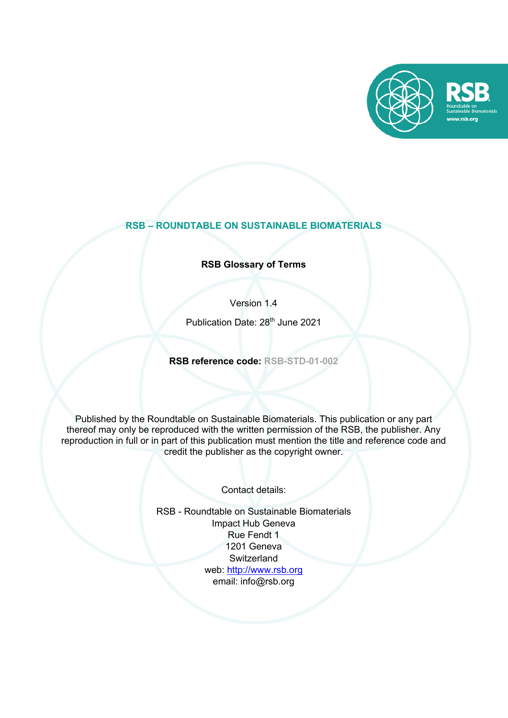

# **RSB – ROUNDTABLE ON SUSTAINABLE BIOMATERIALS**

**RSB Glossary of Terms**

Version 1.4

Publication Date: 28<sup>th</sup> June 2021

**RSB reference code: RSB-STD-01-002**

Published by the Roundtable on Sustainable Biomaterials. This publication or any part thereof may only be reproduced with the written permission of the RSB, the publisher. Any reproduction in full or in part of this publication must mention the title and reference code and credit the publisher as the copyright owner.

Contact details:

RSB - Roundtable on Sustainable Biomaterials Impact Hub Geneva Rue Fendt 1 1201 Geneva **Switzerland** web: http://www.rsb.org email: info@rsb.org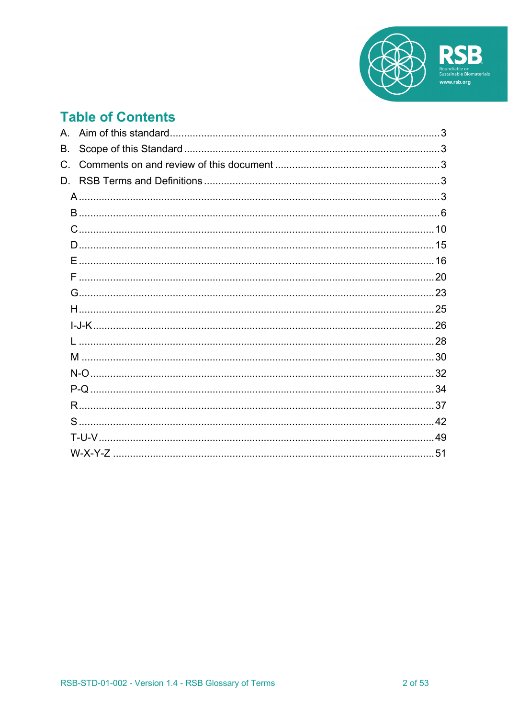

# **Table of Contents**

| Β.          |
|-------------|
| $C_{\cdot}$ |
| D.          |
|             |
|             |
|             |
|             |
|             |
|             |
|             |
|             |
|             |
|             |
|             |
|             |
|             |
|             |
|             |
|             |
|             |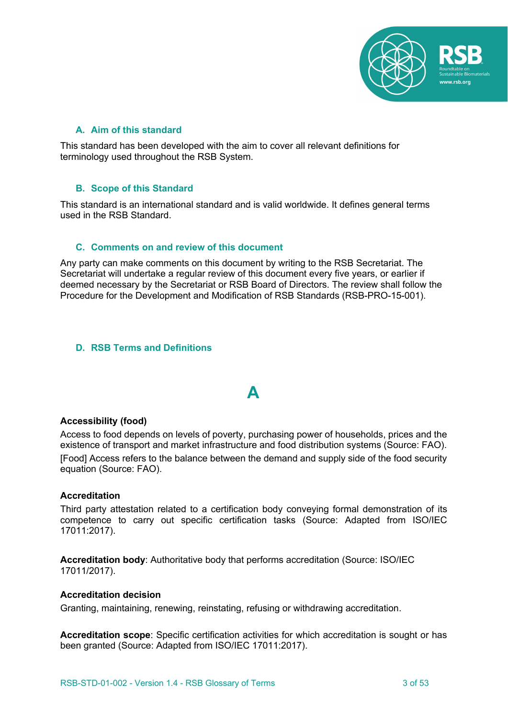

# **A. Aim of this standard**

This standard has been developed with the aim to cover all relevant definitions for terminology used throughout the RSB System.

# **B. Scope of this Standard**

This standard is an international standard and is valid worldwide. It defines general terms used in the RSB Standard.

# **C. Comments on and review of this document**

Any party can make comments on this document by writing to the RSB Secretariat. The Secretariat will undertake a regular review of this document every five years, or earlier if deemed necessary by the Secretariat or RSB Board of Directors. The review shall follow the Procedure for the Development and Modification of RSB Standards (RSB-PRO-15-001).

# **D. RSB Terms and Definitions**

# **A**

#### **Accessibility (food)**

Access to food depends on levels of poverty, purchasing power of households, prices and the existence of transport and market infrastructure and food distribution systems (Source: FAO). [Food] Access refers to the balance between the demand and supply side of the food security equation (Source: FAO).

#### **Accreditation**

Third party attestation related to a certification body conveying formal demonstration of its competence to carry out specific certification tasks (Source: Adapted from ISO/IEC 17011:2017).

**Accreditation body**: Authoritative body that performs accreditation (Source: ISO/IEC 17011/2017).

#### **Accreditation decision**

Granting, maintaining, renewing, reinstating, refusing or withdrawing accreditation.

**Accreditation scope**: Specific certification activities for which accreditation is sought or has been granted (Source: Adapted from ISO/IEC 17011:2017).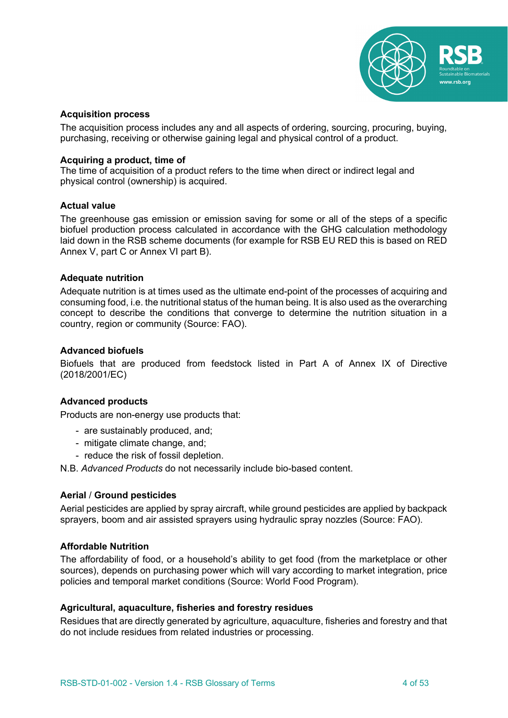

# **Acquisition process**

The acquisition process includes any and all aspects of ordering, sourcing, procuring, buying, purchasing, receiving or otherwise gaining legal and physical control of a product.

# **Acquiring a product, time of**

The time of acquisition of a product refers to the time when direct or indirect legal and physical control (ownership) is acquired.

# **Actual value**

The greenhouse gas emission or emission saving for some or all of the steps of a specific biofuel production process calculated in accordance with the GHG calculation methodology laid down in the RSB scheme documents (for example for RSB EU RED this is based on RED Annex V, part C or Annex VI part B).

# **Adequate nutrition**

Adequate nutrition is at times used as the ultimate end-point of the processes of acquiring and consuming food, i.e. the nutritional status of the human being. It is also used as the overarching concept to describe the conditions that converge to determine the nutrition situation in a country, region or community (Source: FAO).

# **Advanced biofuels**

Biofuels that are produced from feedstock listed in Part A of Annex IX of Directive (2018/2001/EC)

# **Advanced products**

Products are non-energy use products that:

- are sustainably produced, and;
- mitigate climate change, and;
- reduce the risk of fossil depletion.

N.B. *Advanced Products* do not necessarily include bio-based content.

# **Aerial** / **Ground pesticides**

Aerial pesticides are applied by spray aircraft, while ground pesticides are applied by backpack sprayers, boom and air assisted sprayers using hydraulic spray nozzles (Source: FAO).

# **Affordable Nutrition**

The affordability of food, or a household's ability to get food (from the marketplace or other sources), depends on purchasing power which will vary according to market integration, price policies and temporal market conditions (Source: World Food Program).

# **Agricultural, aquaculture, fisheries and forestry residues**

Residues that are directly generated by agriculture, aquaculture, fisheries and forestry and that do not include residues from related industries or processing.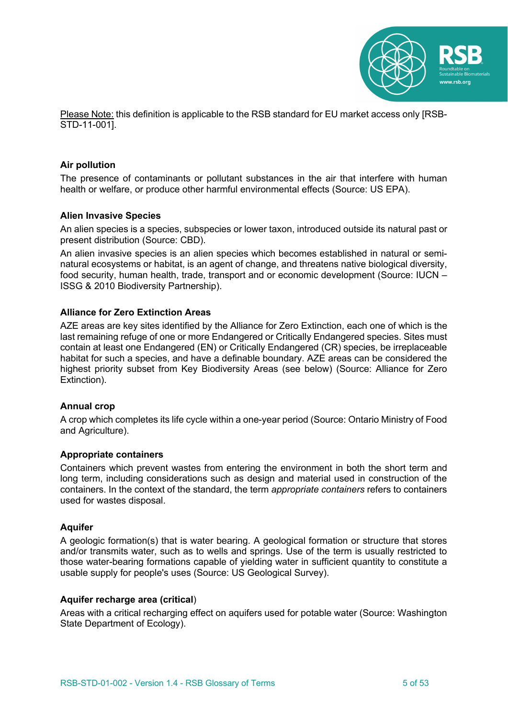

Please Note: this definition is applicable to the RSB standard for EU market access only [RSB-STD-11-001].

# **Air pollution**

The presence of contaminants or pollutant substances in the air that interfere with human health or welfare, or produce other harmful environmental effects (Source: US EPA).

#### **Alien Invasive Species**

An alien species is a species, subspecies or lower taxon, introduced outside its natural past or present distribution (Source: CBD).

An alien invasive species is an alien species which becomes established in natural or seminatural ecosystems or habitat, is an agent of change, and threatens native biological diversity, food security, human health, trade, transport and or economic development (Source: IUCN – ISSG & 2010 Biodiversity Partnership).

# **Alliance for Zero Extinction Areas**

AZE areas are key sites identified by the Alliance for Zero Extinction, each one of which is the last remaining refuge of one or more Endangered or Critically Endangered species. Sites must contain at least one Endangered (EN) or Critically Endangered (CR) species, be irreplaceable habitat for such a species, and have a definable boundary. AZE areas can be considered the highest priority subset from Key Biodiversity Areas (see below) (Source: Alliance for Zero Extinction).

#### **Annual crop**

A crop which completes its life cycle within a one-year period (Source: Ontario Ministry of Food and Agriculture).

#### **Appropriate containers**

Containers which prevent wastes from entering the environment in both the short term and long term, including considerations such as design and material used in construction of the containers. In the context of the standard, the term *appropriate containers* refers to containers used for wastes disposal.

#### **Aquifer**

A geologic formation(s) that is water bearing. A geological formation or structure that stores and/or transmits water, such as to wells and springs. Use of the term is usually restricted to those water-bearing formations capable of yielding water in sufficient quantity to constitute a usable supply for people's uses (Source: US Geological Survey).

#### **Aquifer recharge area (critical**)

Areas with a critical recharging effect on aquifers used for potable water (Source: Washington State Department of Ecology).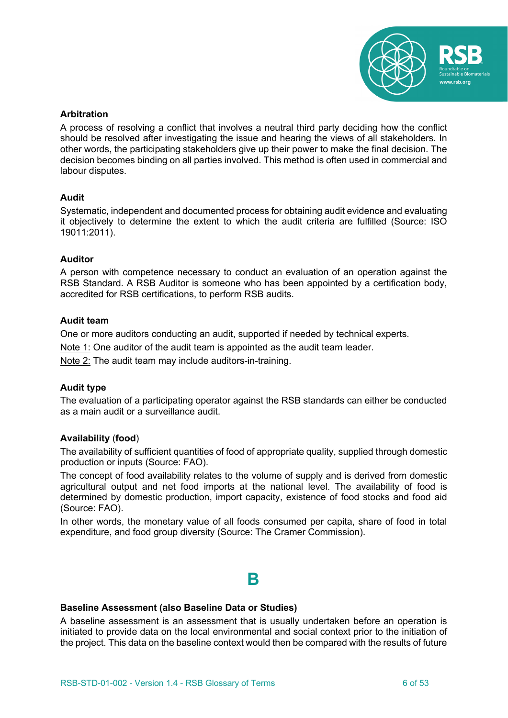

# **Arbitration**

A process of resolving a conflict that involves a neutral third party deciding how the conflict should be resolved after investigating the issue and hearing the views of all stakeholders. In other words, the participating stakeholders give up their power to make the final decision. The decision becomes binding on all parties involved. This method is often used in commercial and labour disputes.

# **Audit**

Systematic, independent and documented process for obtaining audit evidence and evaluating it objectively to determine the extent to which the audit criteria are fulfilled (Source: ISO 19011:2011).

# **Auditor**

A person with competence necessary to conduct an evaluation of an operation against the RSB Standard. A RSB Auditor is someone who has been appointed by a certification body, accredited for RSB certifications, to perform RSB audits.

# **Audit team**

One or more auditors conducting an audit, supported if needed by technical experts.

Note 1: One auditor of the audit team is appointed as the audit team leader.

Note 2: The audit team may include auditors-in-training.

# **Audit type**

The evaluation of a participating operator against the RSB standards can either be conducted as a main audit or a surveillance audit.

# **Availability** (**food**)

The availability of sufficient quantities of food of appropriate quality, supplied through domestic production or inputs (Source: FAO).

The concept of food availability relates to the volume of supply and is derived from domestic agricultural output and net food imports at the national level. The availability of food is determined by domestic production, import capacity, existence of food stocks and food aid (Source: FAO).

In other words, the monetary value of all foods consumed per capita, share of food in total expenditure, and food group diversity (Source: The Cramer Commission).

# **B**

# **Baseline Assessment (also Baseline Data or Studies)**

A baseline assessment is an assessment that is usually undertaken before an operation is initiated to provide data on the local environmental and social context prior to the initiation of the project. This data on the baseline context would then be compared with the results of future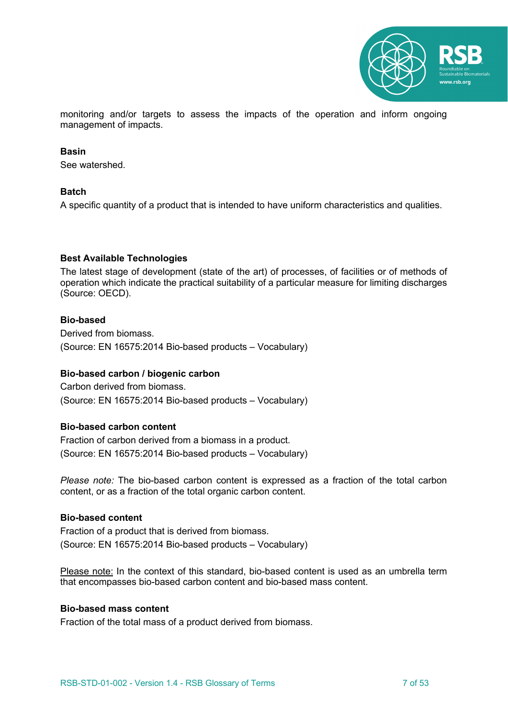

monitoring and/or targets to assess the impacts of the operation and inform ongoing management of impacts.

#### **Basin**

See watershed.

#### **Batch**

A specific quantity of a product that is intended to have uniform characteristics and qualities.

# **Best Available Technologies**

The latest stage of development (state of the art) of processes, of facilities or of methods of operation which indicate the practical suitability of a particular measure for limiting discharges (Source: OECD).

# **Bio-based**

Derived from biomass. (Source: EN 16575:2014 Bio-based products – Vocabulary)

# **Bio-based carbon / biogenic carbon**

Carbon derived from biomass. (Source: EN 16575:2014 Bio-based products – Vocabulary)

# **Bio-based carbon content**

Fraction of carbon derived from a biomass in a product. (Source: EN 16575:2014 Bio-based products – Vocabulary)

*Please note:* The bio-based carbon content is expressed as a fraction of the total carbon content, or as a fraction of the total organic carbon content.

# **Bio-based content**

Fraction of a product that is derived from biomass. (Source: EN 16575:2014 Bio-based products – Vocabulary)

Please note: In the context of this standard, bio-based content is used as an umbrella term that encompasses bio-based carbon content and bio-based mass content.

#### **Bio-based mass content**

Fraction of the total mass of a product derived from biomass.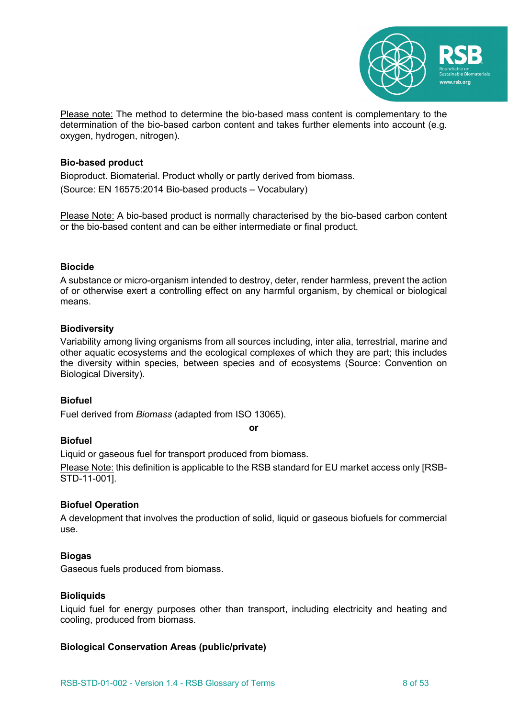

Please note: The method to determine the bio-based mass content is complementary to the determination of the bio-based carbon content and takes further elements into account (e.g. oxygen, hydrogen, nitrogen).

# **Bio-based product**

Bioproduct. Biomaterial. Product wholly or partly derived from biomass. (Source: EN 16575:2014 Bio-based products – Vocabulary)

Please Note: A bio-based product is normally characterised by the bio-based carbon content or the bio-based content and can be either intermediate or final product.

# **Biocide**

A substance or micro-organism intended to destroy, deter, render harmless, prevent the action of or otherwise exert a controlling effect on any harmful organism, by chemical or biological means.

# **Biodiversity**

Variability among living organisms from all sources including, inter alia, terrestrial, marine and other aquatic ecosystems and the ecological complexes of which they are part; this includes the diversity within species, between species and of ecosystems (Source: Convention on Biological Diversity).

# **Biofuel**

Fuel derived from *Biomass* (adapted from ISO 13065).

**or**

#### **Biofuel**

Liquid or gaseous fuel for transport produced from biomass.

Please Note: this definition is applicable to the RSB standard for EU market access only [RSB-STD-11-001].

# **Biofuel Operation**

A development that involves the production of solid, liquid or gaseous biofuels for commercial use.

# **Biogas**

Gaseous fuels produced from biomass.

#### **Bioliquids**

Liquid fuel for energy purposes other than transport, including electricity and heating and cooling, produced from biomass.

#### **Biological Conservation Areas (public/private)**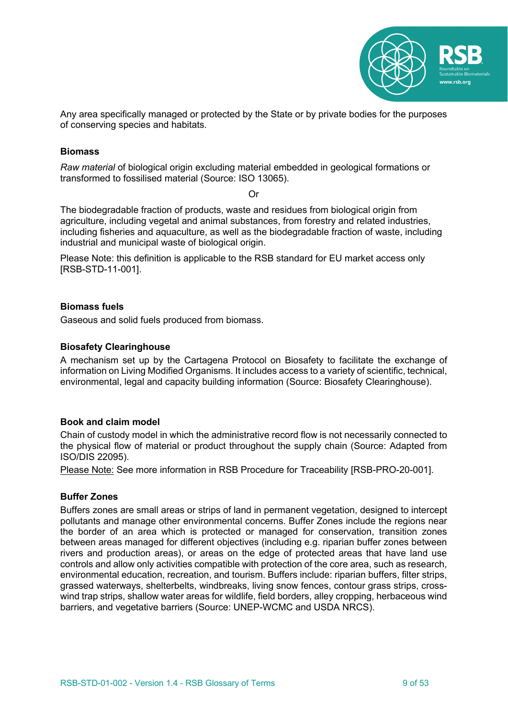

Any area specifically managed or protected by the State or by private bodies for the purposes of conserving species and habitats.

### **Biomass**

*Raw material* of biological origin excluding material embedded in geological formations or transformed to fossilised material (Source: ISO 13065).

Or

The biodegradable fraction of products, waste and residues from biological origin from agriculture, including vegetal and animal substances, from forestry and related industries, including fisheries and aquaculture, as well as the biodegradable fraction of waste, including industrial and municipal waste of biological origin.

Please Note: this definition is applicable to the RSB standard for EU market access only [RSB-STD-11-001].

# **Biomass fuels**

Gaseous and solid fuels produced from biomass.

# **Biosafety Clearinghouse**

A mechanism set up by the Cartagena Protocol on Biosafety to facilitate the exchange of information on Living Modified Organisms. It includes access to a variety of scientific, technical, environmental, legal and capacity building information (Source: Biosafety Clearinghouse).

#### **Book and claim model**

Chain of custody model in which the administrative record flow is not necessarily connected to the physical flow of material or product throughout the supply chain (Source: Adapted from ISO/DIS 22095).

Please Note: See more information in RSB Procedure for Traceability [RSB-PRO-20-001].

#### **Buffer Zones**

Buffers zones are small areas or strips of land in permanent vegetation, designed to intercept pollutants and manage other environmental concerns. Buffer Zones include the regions near the border of an area which is protected or managed for conservation, transition zones between areas managed for different objectives (including e.g. riparian buffer zones between rivers and production areas), or areas on the edge of protected areas that have land use controls and allow only activities compatible with protection of the core area, such as research, environmental education, recreation, and tourism. Buffers include: riparian buffers, filter strips, grassed waterways, shelterbelts, windbreaks, living snow fences, contour grass strips, crosswind trap strips, shallow water areas for wildlife, field borders, alley cropping, herbaceous wind barriers, and vegetative barriers (Source: UNEP-WCMC and USDA NRCS).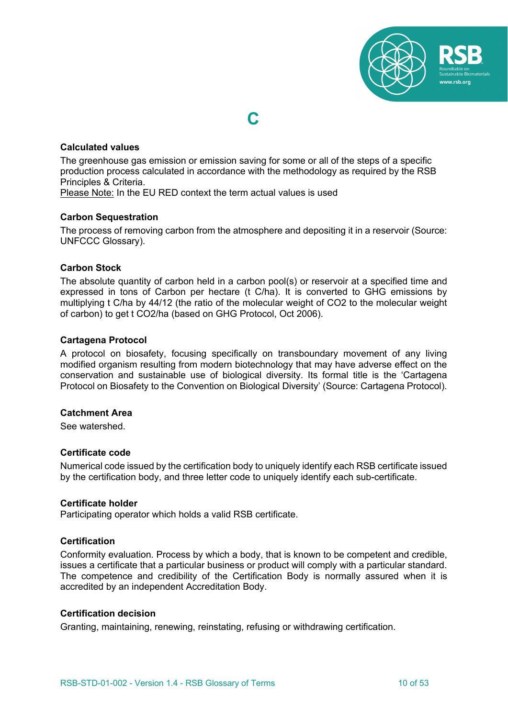

#### **Calculated values**

The greenhouse gas emission or emission saving for some or all of the steps of a specific production process calculated in accordance with the methodology as required by the RSB Principles & Criteria.

**C**

Please Note: In the EU RED context the term actual values is used

#### **Carbon Sequestration**

The process of removing carbon from the atmosphere and depositing it in a reservoir (Source: UNFCCC Glossary).

#### **Carbon Stock**

The absolute quantity of carbon held in a carbon pool(s) or reservoir at a specified time and expressed in tons of Carbon per hectare (t C/ha). It is converted to GHG emissions by multiplying t C/ha by 44/12 (the ratio of the molecular weight of CO2 to the molecular weight of carbon) to get t CO2/ha (based on GHG Protocol, Oct 2006).

#### **Cartagena Protocol**

A protocol on biosafety, focusing specifically on transboundary movement of any living modified organism resulting from modern biotechnology that may have adverse effect on the conservation and sustainable use of biological diversity. Its formal title is the 'Cartagena Protocol on Biosafety to the Convention on Biological Diversity' (Source: Cartagena Protocol).

#### **Catchment Area**

See watershed.

#### **Certificate code**

Numerical code issued by the certification body to uniquely identify each RSB certificate issued by the certification body, and three letter code to uniquely identify each sub-certificate.

#### **Certificate holder**

Participating operator which holds a valid RSB certificate.

#### **Certification**

Conformity evaluation. Process by which a body, that is known to be competent and credible, issues a certificate that a particular business or product will comply with a particular standard. The competence and credibility of the Certification Body is normally assured when it is accredited by an independent Accreditation Body.

#### **Certification decision**

Granting, maintaining, renewing, reinstating, refusing or withdrawing certification.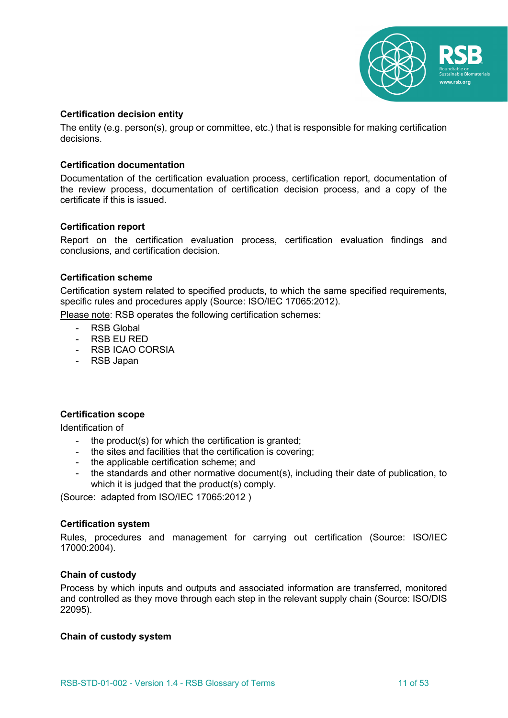

# **Certification decision entity**

The entity (e.g. person(s), group or committee, etc.) that is responsible for making certification decisions.

### **Certification documentation**

Documentation of the certification evaluation process, certification report, documentation of the review process, documentation of certification decision process, and a copy of the certificate if this is issued.

#### **Certification report**

Report on the certification evaluation process, certification evaluation findings and conclusions, and certification decision.

# **Certification scheme**

Certification system related to specified products, to which the same specified requirements, specific rules and procedures apply (Source: ISO/IEC 17065:2012).

Please note: RSB operates the following certification schemes:

- RSB Global
- RSB EU RED
- RSB ICAO CORSIA
- RSB Japan

# **Certification scope**

Identification of

- the product(s) for which the certification is granted;
- the sites and facilities that the certification is covering;
- the applicable certification scheme; and
- the standards and other normative document(s), including their date of publication, to which it is judged that the product(s) comply.

(Source: adapted from ISO/IEC 17065:2012 )

#### **Certification system**

Rules, procedures and management for carrying out certification (Source: ISO/IEC 17000:2004).

#### **Chain of custody**

Process by which inputs and outputs and associated information are transferred, monitored and controlled as they move through each step in the relevant supply chain (Source: ISO/DIS 22095).

#### **Chain of custody system**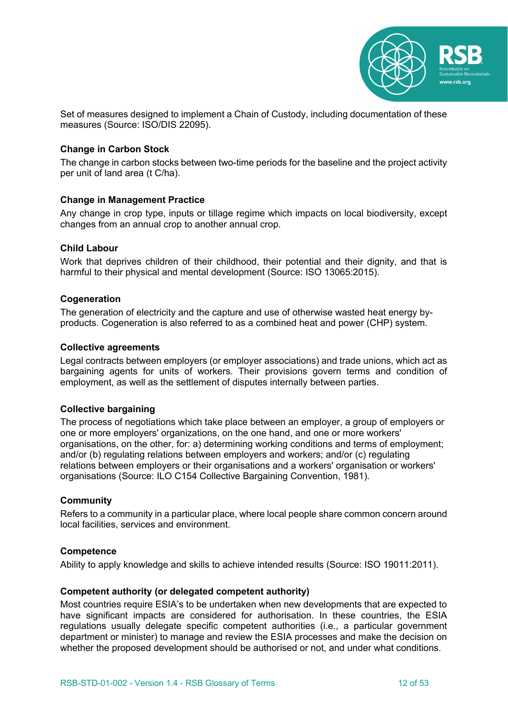

Set of measures designed to implement a Chain of Custody, including documentation of these measures (Source: ISO/DIS 22095).

# **Change in Carbon Stock**

The change in carbon stocks between two-time periods for the baseline and the project activity per unit of land area (t C/ha).

#### **Change in Management Practice**

Any change in crop type, inputs or tillage regime which impacts on local biodiversity, except changes from an annual crop to another annual crop.

#### **Child Labour**

Work that deprives children of their childhood, their potential and their dignity, and that is harmful to their physical and mental development (Source: ISO 13065:2015).

#### **Cogeneration**

The generation of electricity and the capture and use of otherwise wasted heat energy byproducts. Cogeneration is also referred to as a combined heat and power (CHP) system.

#### **Collective agreements**

Legal contracts between employers (or employer associations) and trade unions, which act as bargaining agents for units of workers. Their provisions govern terms and condition of employment, as well as the settlement of disputes internally between parties.

#### **Collective bargaining**

The process of negotiations which take place between an employer, a group of employers or one or more employers' organizations, on the one hand, and one or more workers' organisations, on the other, for: a) determining working conditions and terms of employment; and/or (b) regulating relations between employers and workers; and/or (c) regulating relations between employers or their organisations and a workers' organisation or workers' organisations (Source: ILO C154 Collective Bargaining Convention, 1981).

#### **Community**

Refers to a community in a particular place, where local people share common concern around local facilities, services and environment.

#### **Competence**

Ability to apply knowledge and skills to achieve intended results (Source: ISO 19011:2011).

#### **Competent authority (or delegated competent authority)**

Most countries require ESIA's to be undertaken when new developments that are expected to have significant impacts are considered for authorisation. In these countries, the ESIA regulations usually delegate specific competent authorities (i.e., a particular government department or minister) to manage and review the ESIA processes and make the decision on whether the proposed development should be authorised or not, and under what conditions.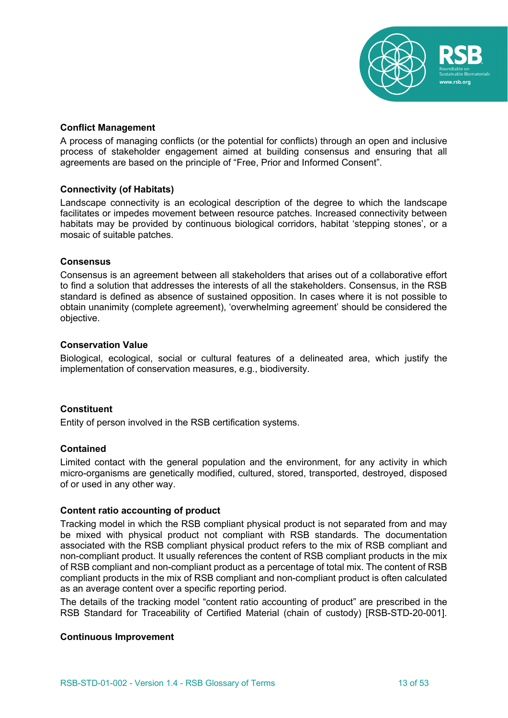

### **Conflict Management**

A process of managing conflicts (or the potential for conflicts) through an open and inclusive process of stakeholder engagement aimed at building consensus and ensuring that all agreements are based on the principle of "Free, Prior and Informed Consent".

# **Connectivity (of Habitats)**

Landscape connectivity is an ecological description of the degree to which the landscape facilitates or impedes movement between resource patches. Increased connectivity between habitats may be provided by continuous biological corridors, habitat 'stepping stones', or a mosaic of suitable patches.

#### **Consensus**

Consensus is an agreement between all stakeholders that arises out of a collaborative effort to find a solution that addresses the interests of all the stakeholders. Consensus, in the RSB standard is defined as absence of sustained opposition. In cases where it is not possible to obtain unanimity (complete agreement), 'overwhelming agreement' should be considered the objective.

#### **Conservation Value**

Biological, ecological, social or cultural features of a delineated area, which justify the implementation of conservation measures, e.g., biodiversity.

#### **Constituent**

Entity of person involved in the RSB certification systems.

#### **Contained**

Limited contact with the general population and the environment, for any activity in which micro-organisms are genetically modified, cultured, stored, transported, destroyed, disposed of or used in any other way.

### **Content ratio accounting of product**

Tracking model in which the RSB compliant physical product is not separated from and may be mixed with physical product not compliant with RSB standards. The documentation associated with the RSB compliant physical product refers to the mix of RSB compliant and non-compliant product. It usually references the content of RSB compliant products in the mix of RSB compliant and non-compliant product as a percentage of total mix. The content of RSB compliant products in the mix of RSB compliant and non-compliant product is often calculated as an average content over a specific reporting period.

The details of the tracking model "content ratio accounting of product" are prescribed in the RSB Standard for Traceability of Certified Material (chain of custody) [RSB-STD-20-001].

#### **Continuous Improvement**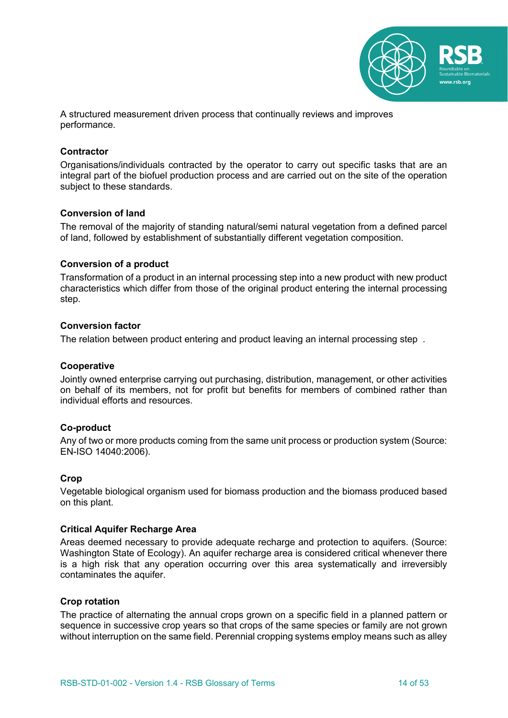

A structured measurement driven process that continually reviews and improves performance.

#### **Contractor**

Organisations/individuals contracted by the operator to carry out specific tasks that are an integral part of the biofuel production process and are carried out on the site of the operation subject to these standards.

#### **Conversion of land**

The removal of the majority of standing natural/semi natural vegetation from a defined parcel of land, followed by establishment of substantially different vegetation composition.

# **Conversion of a product**

Transformation of a product in an internal processing step into a new product with new product characteristics which differ from those of the original product entering the internal processing step.

# **Conversion factor**

The relation between product entering and product leaving an internal processing step .

#### **Cooperative**

Jointly owned enterprise carrying out purchasing, distribution, management, or other activities on behalf of its members, not for profit but benefits for members of combined rather than individual efforts and resources.

#### **Co-product**

Any of two or more products coming from the same unit process or production system (Source: EN-ISO 14040:2006).

#### **Crop**

Vegetable biological organism used for biomass production and the biomass produced based on this plant.

#### **Critical Aquifer Recharge Area**

Areas deemed necessary to provide adequate recharge and protection to aquifers. (Source: Washington State of Ecology). An aquifer recharge area is considered critical whenever there is a high risk that any operation occurring over this area systematically and irreversibly contaminates the aquifer.

#### **Crop rotation**

The practice of alternating the annual crops grown on a specific field in a planned pattern or sequence in successive crop years so that crops of the same species or family are not grown without interruption on the same field. Perennial cropping systems employ means such as alley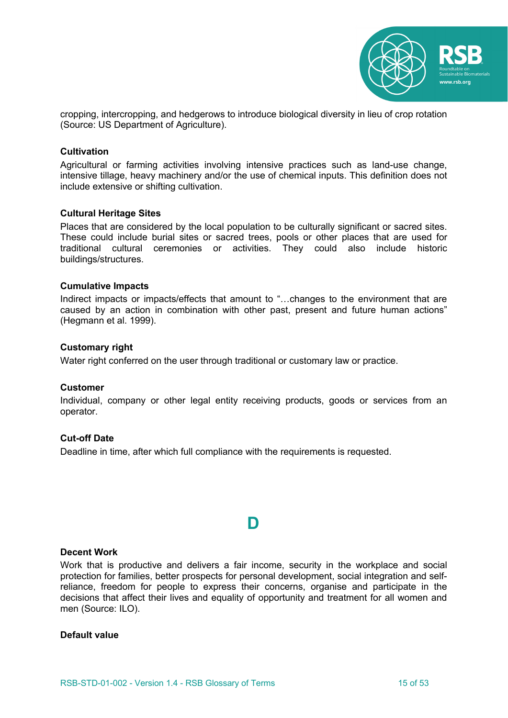

cropping, intercropping, and hedgerows to introduce biological diversity in lieu of crop rotation (Source: US Department of Agriculture).

#### **Cultivation**

Agricultural or farming activities involving intensive practices such as land-use change, intensive tillage, heavy machinery and/or the use of chemical inputs. This definition does not include extensive or shifting cultivation.

#### **Cultural Heritage Sites**

Places that are considered by the local population to be culturally significant or sacred sites. These could include burial sites or sacred trees, pools or other places that are used for traditional cultural ceremonies or activities. They could also include historic buildings/structures.

#### **Cumulative Impacts**

Indirect impacts or impacts/effects that amount to "...changes to the environment that are caused by an action in combination with other past, present and future human actions" (Hegmann et al. 1999).

#### **Customary right**

Water right conferred on the user through traditional or customary law or practice.

#### **Customer**

Individual, company or other legal entity receiving products, goods or services from an operator.

#### **Cut-off Date**

Deadline in time, after which full compliance with the requirements is requested.

# **D**

#### **Decent Work**

Work that is productive and delivers a fair income, security in the workplace and social protection for families, better prospects for personal development, social integration and selfreliance, freedom for people to express their concerns, organise and participate in the decisions that affect their lives and equality of opportunity and treatment for all women and men (Source: ILO).

#### **Default value**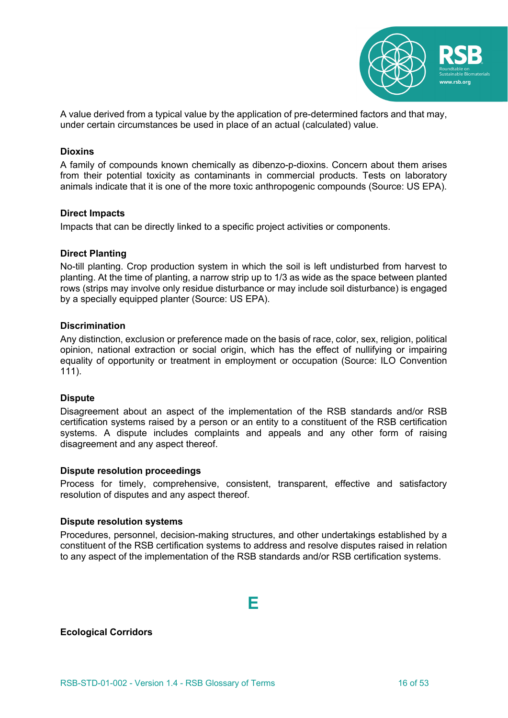

A value derived from a typical value by the application of pre-determined factors and that may, under certain circumstances be used in place of an actual (calculated) value.

#### **Dioxins**

A family of compounds known chemically as dibenzo-p-dioxins. Concern about them arises from their potential toxicity as contaminants in commercial products. Tests on laboratory animals indicate that it is one of the more toxic anthropogenic compounds (Source: US EPA).

#### **Direct Impacts**

Impacts that can be directly linked to a specific project activities or components.

#### **Direct Planting**

No-till planting. Crop production system in which the soil is left undisturbed from harvest to planting. At the time of planting, a narrow strip up to 1/3 as wide as the space between planted rows (strips may involve only residue disturbance or may include soil disturbance) is engaged by a specially equipped planter (Source: US EPA).

#### **Discrimination**

Any distinction, exclusion or preference made on the basis of race, color, sex, religion, political opinion, national extraction or social origin, which has the effect of nullifying or impairing equality of opportunity or treatment in employment or occupation (Source: ILO Convention 111).

#### **Dispute**

Disagreement about an aspect of the implementation of the RSB standards and/or RSB certification systems raised by a person or an entity to a constituent of the RSB certification systems. A dispute includes complaints and appeals and any other form of raising disagreement and any aspect thereof.

#### **Dispute resolution proceedings**

Process for timely, comprehensive, consistent, transparent, effective and satisfactory resolution of disputes and any aspect thereof.

#### **Dispute resolution systems**

Procedures, personnel, decision-making structures, and other undertakings established by a constituent of the RSB certification systems to address and resolve disputes raised in relation to any aspect of the implementation of the RSB standards and/or RSB certification systems.

# **E**

**Ecological Corridors**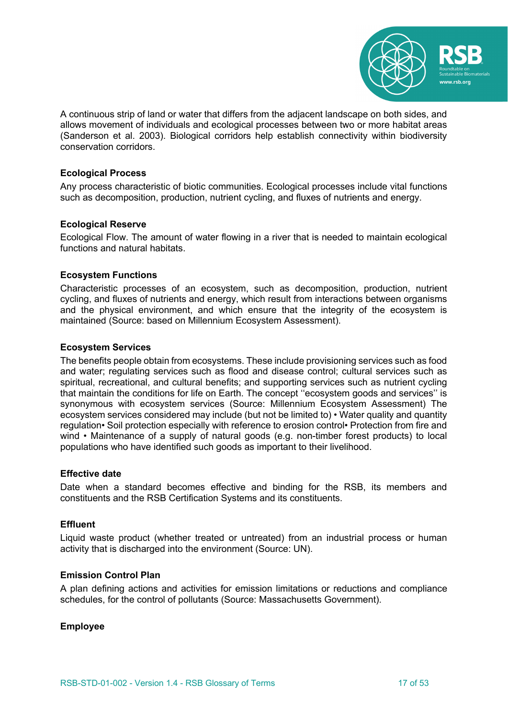

A continuous strip of land or water that differs from the adjacent landscape on both sides, and allows movement of individuals and ecological processes between two or more habitat areas (Sanderson et al. 2003). Biological corridors help establish connectivity within biodiversity conservation corridors.

# **Ecological Process**

Any process characteristic of biotic communities. Ecological processes include vital functions such as decomposition, production, nutrient cycling, and fluxes of nutrients and energy.

#### **Ecological Reserve**

Ecological Flow. The amount of water flowing in a river that is needed to maintain ecological functions and natural habitats.

# **Ecosystem Functions**

Characteristic processes of an ecosystem, such as decomposition, production, nutrient cycling, and fluxes of nutrients and energy, which result from interactions between organisms and the physical environment, and which ensure that the integrity of the ecosystem is maintained (Source: based on Millennium Ecosystem Assessment).

#### **Ecosystem Services**

The benefits people obtain from ecosystems. These include provisioning services such as food and water; regulating services such as flood and disease control; cultural services such as spiritual, recreational, and cultural benefits; and supporting services such as nutrient cycling that maintain the conditions for life on Earth. The concept ''ecosystem goods and services'' is synonymous with ecosystem services (Source: Millennium Ecosystem Assessment) The ecosystem services considered may include (but not be limited to) • Water quality and quantity regulation• Soil protection especially with reference to erosion control• Protection from fire and wind • Maintenance of a supply of natural goods (e.g. non-timber forest products) to local populations who have identified such goods as important to their livelihood.

#### **Effective date**

Date when a standard becomes effective and binding for the RSB, its members and constituents and the RSB Certification Systems and its constituents.

#### **Effluent**

Liquid waste product (whether treated or untreated) from an industrial process or human activity that is discharged into the environment (Source: UN).

# **Emission Control Plan**

A plan defining actions and activities for emission limitations or reductions and compliance schedules, for the control of pollutants (Source: Massachusetts Government).

#### **Employee**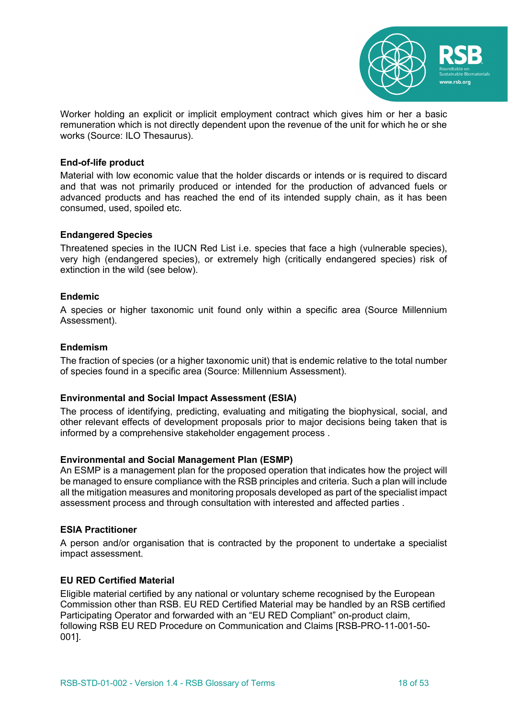

Worker holding an explicit or implicit employment contract which gives him or her a basic remuneration which is not directly dependent upon the revenue of the unit for which he or she works (Source: ILO Thesaurus).

### **End-of-life product**

Material with low economic value that the holder discards or intends or is required to discard and that was not primarily produced or intended for the production of advanced fuels or advanced products and has reached the end of its intended supply chain, as it has been consumed, used, spoiled etc.

# **Endangered Species**

Threatened species in the IUCN Red List i.e. species that face a high (vulnerable species), very high (endangered species), or extremely high (critically endangered species) risk of extinction in the wild (see below).

# **Endemic**

A species or higher taxonomic unit found only within a specific area (Source Millennium Assessment).

#### **Endemism**

The fraction of species (or a higher taxonomic unit) that is endemic relative to the total number of species found in a specific area (Source: Millennium Assessment).

#### **Environmental and Social Impact Assessment (ESIA)**

The process of identifying, predicting, evaluating and mitigating the biophysical, social, and other relevant effects of development proposals prior to major decisions being taken that is informed by a comprehensive stakeholder engagement process .

#### **Environmental and Social Management Plan (ESMP)**

An ESMP is a management plan for the proposed operation that indicates how the project will be managed to ensure compliance with the RSB principles and criteria. Such a plan will include all the mitigation measures and monitoring proposals developed as part of the specialist impact assessment process and through consultation with interested and affected parties .

#### **ESIA Practitioner**

A person and/or organisation that is contracted by the proponent to undertake a specialist impact assessment.

#### **EU RED Certified Material**

Eligible material certified by any national or voluntary scheme recognised by the European Commission other than RSB. EU RED Certified Material may be handled by an RSB certified Participating Operator and forwarded with an "EU RED Compliant" on-product claim, following RSB EU RED Procedure on Communication and Claims [RSB-PRO-11-001-50- 001].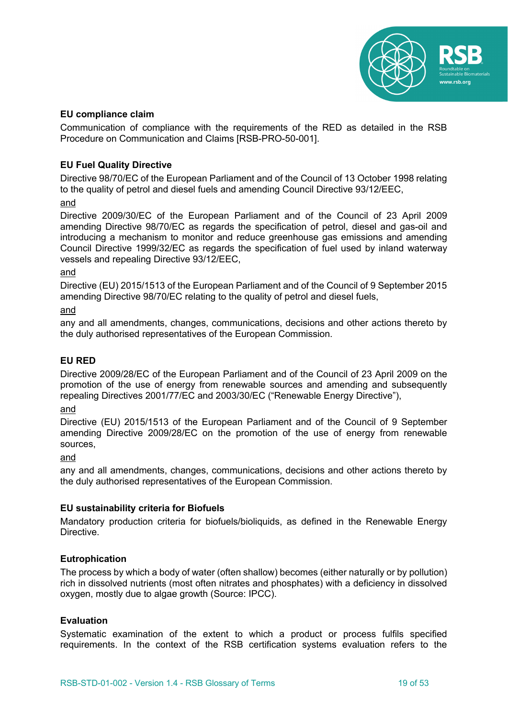

# **EU compliance claim**

Communication of compliance with the requirements of the RED as detailed in the RSB Procedure on Communication and Claims [RSB-PRO-50-001].

# **EU Fuel Quality Directive**

Directive 98/70/EC of the European Parliament and of the Council of 13 October 1998 relating to the quality of petrol and diesel fuels and amending Council Directive 93/12/EEC,

and

Directive 2009/30/EC of the European Parliament and of the Council of 23 April 2009 amending Directive 98/70/EC as regards the specification of petrol, diesel and gas-oil and introducing a mechanism to monitor and reduce greenhouse gas emissions and amending Council Directive 1999/32/EC as regards the specification of fuel used by inland waterway vessels and repealing Directive 93/12/EEC,

#### and

Directive (EU) 2015/1513 of the European Parliament and of the Council of 9 September 2015 amending Directive 98/70/EC relating to the quality of petrol and diesel fuels,

and

any and all amendments, changes, communications, decisions and other actions thereto by the duly authorised representatives of the European Commission.

#### **EU RED**

Directive 2009/28/EC of the European Parliament and of the Council of 23 April 2009 on the promotion of the use of energy from renewable sources and amending and subsequently repealing Directives 2001/77/EC and 2003/30/EC ("Renewable Energy Directive"),

and

Directive (EU) 2015/1513 of the European Parliament and of the Council of 9 September amending Directive 2009/28/EC on the promotion of the use of energy from renewable sources,

and

any and all amendments, changes, communications, decisions and other actions thereto by the duly authorised representatives of the European Commission.

#### **EU sustainability criteria for Biofuels**

Mandatory production criteria for biofuels/bioliquids, as defined in the Renewable Energy Directive.

#### **Eutrophication**

The process by which a body of water (often shallow) becomes (either naturally or by pollution) rich in dissolved nutrients (most often nitrates and phosphates) with a deficiency in dissolved oxygen, mostly due to algae growth (Source: IPCC).

#### **Evaluation**

Systematic examination of the extent to which a product or process fulfils specified requirements. In the context of the RSB certification systems evaluation refers to the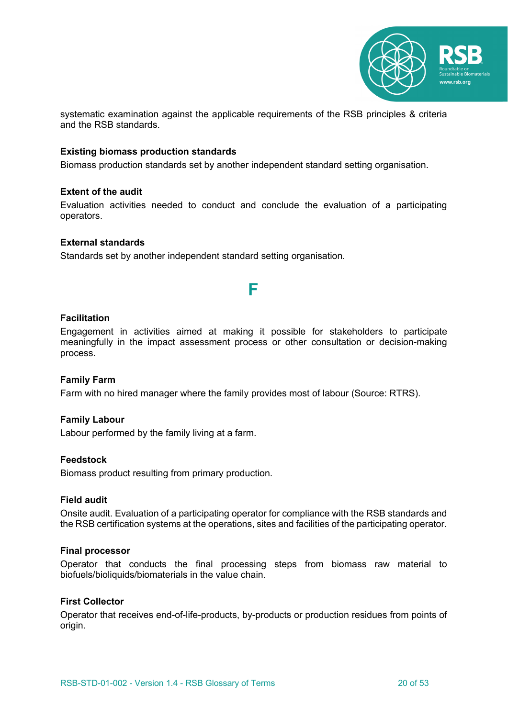

systematic examination against the applicable requirements of the RSB principles & criteria and the RSB standards.

# **Existing biomass production standards**

Biomass production standards set by another independent standard setting organisation.

# **Extent of the audit**

Evaluation activities needed to conduct and conclude the evaluation of a participating operators.

#### **External standards**

Standards set by another independent standard setting organisation.

#### **Facilitation**

Engagement in activities aimed at making it possible for stakeholders to participate meaningfully in the impact assessment process or other consultation or decision-making process.

**F**

#### **Family Farm**

Farm with no hired manager where the family provides most of labour (Source: RTRS).

#### **Family Labour**

Labour performed by the family living at a farm.

#### **Feedstock**

Biomass product resulting from primary production.

#### **Field audit**

Onsite audit. Evaluation of a participating operator for compliance with the RSB standards and the RSB certification systems at the operations, sites and facilities of the participating operator.

#### **Final processor**

Operator that conducts the final processing steps from biomass raw material to biofuels/bioliquids/biomaterials in the value chain.

# **First Collector**

Operator that receives end-of-life-products, by-products or production residues from points of origin.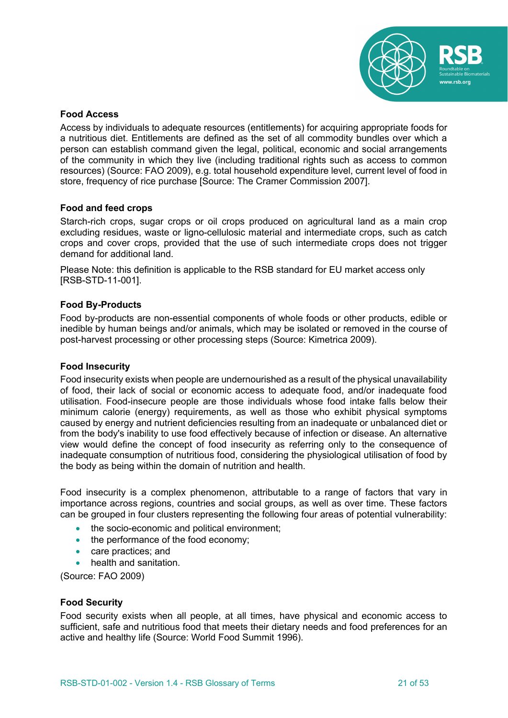

# **Food Access**

Access by individuals to adequate resources (entitlements) for acquiring appropriate foods for a nutritious diet. Entitlements are defined as the set of all commodity bundles over which a person can establish command given the legal, political, economic and social arrangements of the community in which they live (including traditional rights such as access to common resources) (Source: FAO 2009), e.g. total household expenditure level, current level of food in store, frequency of rice purchase [Source: The Cramer Commission 2007].

# **Food and feed crops**

Starch-rich crops, sugar crops or oil crops produced on agricultural land as a main crop excluding residues, waste or ligno-cellulosic material and intermediate crops, such as catch crops and cover crops, provided that the use of such intermediate crops does not trigger demand for additional land.

Please Note: this definition is applicable to the RSB standard for EU market access only [RSB-STD-11-001].

# **Food By-Products**

Food by-products are non-essential components of whole foods or other products, edible or inedible by human beings and/or animals, which may be isolated or removed in the course of post-harvest processing or other processing steps (Source: Kimetrica 2009).

#### **Food Insecurity**

Food insecurity exists when people are undernourished as a result of the physical unavailability of food, their lack of social or economic access to adequate food, and/or inadequate food utilisation. Food-insecure people are those individuals whose food intake falls below their minimum calorie (energy) requirements, as well as those who exhibit physical symptoms caused by energy and nutrient deficiencies resulting from an inadequate or unbalanced diet or from the body's inability to use food effectively because of infection or disease. An alternative view would define the concept of food insecurity as referring only to the consequence of inadequate consumption of nutritious food, considering the physiological utilisation of food by the body as being within the domain of nutrition and health.

Food insecurity is a complex phenomenon, attributable to a range of factors that vary in importance across regions, countries and social groups, as well as over time. These factors can be grouped in four clusters representing the following four areas of potential vulnerability:

- the socio-economic and political environment;
- the performance of the food economy;
- care practices; and
- health and sanitation.

(Source: FAO 2009)

#### **Food Security**

Food security exists when all people, at all times, have physical and economic access to sufficient, safe and nutritious food that meets their dietary needs and food preferences for an active and healthy life (Source: World Food Summit 1996).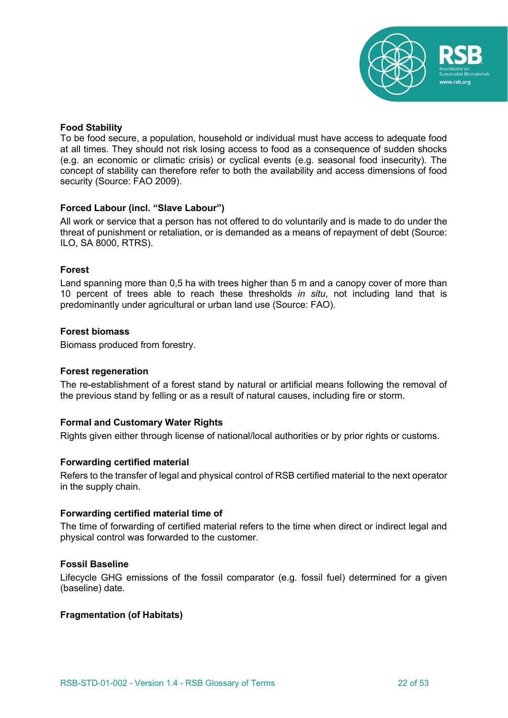

# **Food Stability**

To be food secure, a population, household or individual must have access to adequate food at all times. They should not risk losing access to food as a consequence of sudden shocks (e.g. an economic or climatic crisis) or cyclical events (e.g. seasonal food insecurity). The concept of stability can therefore refer to both the availability and access dimensions of food security (Source: FAO 2009).

# **Forced Labour (incl. "Slave Labour")**

All work or service that a person has not offered to do voluntarily and is made to do under the threat of punishment or retaliation, or is demanded as a means of repayment of debt (Source: ILO, SA 8000, RTRS).

# **Forest**

Land spanning more than 0,5 ha with trees higher than 5 m and a canopy cover of more than 10 percent of trees able to reach these thresholds *in situ*, not including land that is predominantly under agricultural or urban land use (Source: FAO).

# **Forest biomass**

Biomass produced from forestry.

#### **Forest regeneration**

The re-establishment of a forest stand by natural or artificial means following the removal of the previous stand by felling or as a result of natural causes, including fire or storm.

# **Formal and Customary Water Rights**

Rights given either through license of national/local authorities or by prior rights or customs.

#### **Forwarding certified material**

Refers to the transfer of legal and physical control of RSB certified material to the next operator in the supply chain.

#### **Forwarding certified material time of**

The time of forwarding of certified material refers to the time when direct or indirect legal and physical control was forwarded to the customer.

#### **Fossil Baseline**

Lifecycle GHG emissions of the fossil comparator (e.g. fossil fuel) determined for a given (baseline) date.

#### **Fragmentation (of Habitats)**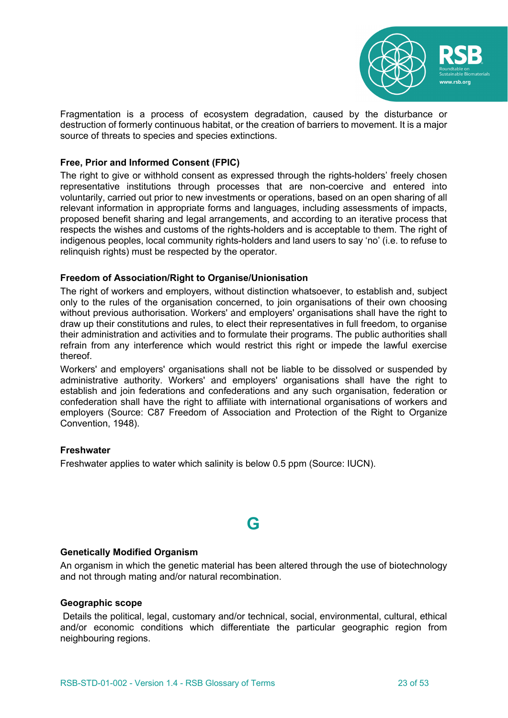

Fragmentation is a process of ecosystem degradation, caused by the disturbance or destruction of formerly continuous habitat, or the creation of barriers to movement. It is a major source of threats to species and species extinctions.

# **Free, Prior and Informed Consent (FPIC)**

The right to give or withhold consent as expressed through the rights-holders' freely chosen representative institutions through processes that are non-coercive and entered into voluntarily, carried out prior to new investments or operations, based on an open sharing of all relevant information in appropriate forms and languages, including assessments of impacts, proposed benefit sharing and legal arrangements, and according to an iterative process that respects the wishes and customs of the rights-holders and is acceptable to them. The right of indigenous peoples, local community rights-holders and land users to say 'no' (i.e. to refuse to relinquish rights) must be respected by the operator.

#### **Freedom of Association/Right to Organise/Unionisation**

The right of workers and employers, without distinction whatsoever, to establish and, subject only to the rules of the organisation concerned, to join organisations of their own choosing without previous authorisation. Workers' and employers' organisations shall have the right to draw up their constitutions and rules, to elect their representatives in full freedom, to organise their administration and activities and to formulate their programs. The public authorities shall refrain from any interference which would restrict this right or impede the lawful exercise thereof.

Workers' and employers' organisations shall not be liable to be dissolved or suspended by administrative authority. Workers' and employers' organisations shall have the right to establish and join federations and confederations and any such organisation, federation or confederation shall have the right to affiliate with international organisations of workers and employers (Source: C87 Freedom of Association and Protection of the Right to Organize Convention, 1948).

#### **Freshwater**

Freshwater applies to water which salinity is below 0.5 ppm (Source: IUCN).

# **G**

#### **Genetically Modified Organism**

An organism in which the genetic material has been altered through the use of biotechnology and not through mating and/or natural recombination.

# **Geographic scope**

Details the political, legal, customary and/or technical, social, environmental, cultural, ethical and/or economic conditions which differentiate the particular geographic region from neighbouring regions.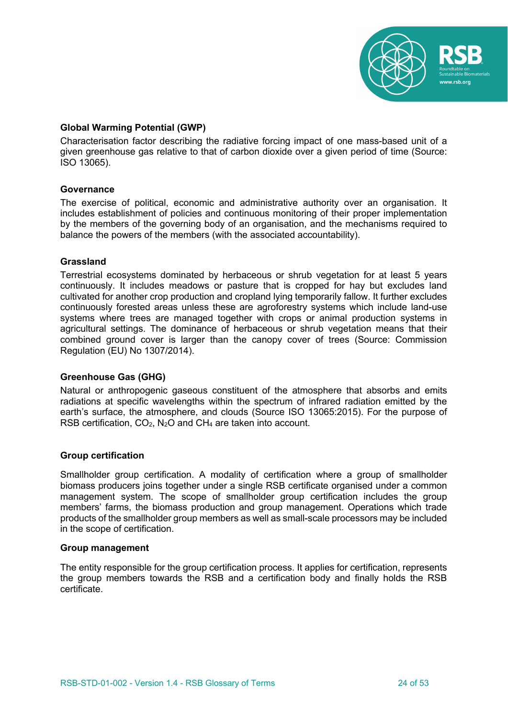

# **Global Warming Potential (GWP)**

Characterisation factor describing the radiative forcing impact of one mass-based unit of a given greenhouse gas relative to that of carbon dioxide over a given period of time (Source: ISO 13065).

# **Governance**

The exercise of political, economic and administrative authority over an organisation. It includes establishment of policies and continuous monitoring of their proper implementation by the members of the governing body of an organisation, and the mechanisms required to balance the powers of the members (with the associated accountability).

# **Grassland**

Terrestrial ecosystems dominated by herbaceous or shrub vegetation for at least 5 years continuously. It includes meadows or pasture that is cropped for hay but excludes land cultivated for another crop production and cropland lying temporarily fallow. It further excludes continuously forested areas unless these are agroforestry systems which include land-use systems where trees are managed together with crops or animal production systems in agricultural settings. The dominance of herbaceous or shrub vegetation means that their combined ground cover is larger than the canopy cover of trees (Source: Commission Regulation (EU) No 1307/2014).

#### **Greenhouse Gas (GHG)**

Natural or anthropogenic gaseous constituent of the atmosphere that absorbs and emits radiations at specific wavelengths within the spectrum of infrared radiation emitted by the earth's surface, the atmosphere, and clouds (Source ISO 13065:2015). For the purpose of RSB certification,  $CO<sub>2</sub>$ , N<sub>2</sub>O and CH<sub>4</sub> are taken into account.

#### **Group certification**

Smallholder group certification. A modality of certification where a group of smallholder biomass producers joins together under a single RSB certificate organised under a common management system. The scope of smallholder group certification includes the group members' farms, the biomass production and group management. Operations which trade products of the smallholder group members as well as small-scale processors may be included in the scope of certification.

#### **Group management**

The entity responsible for the group certification process. It applies for certification, represents the group members towards the RSB and a certification body and finally holds the RSB certificate.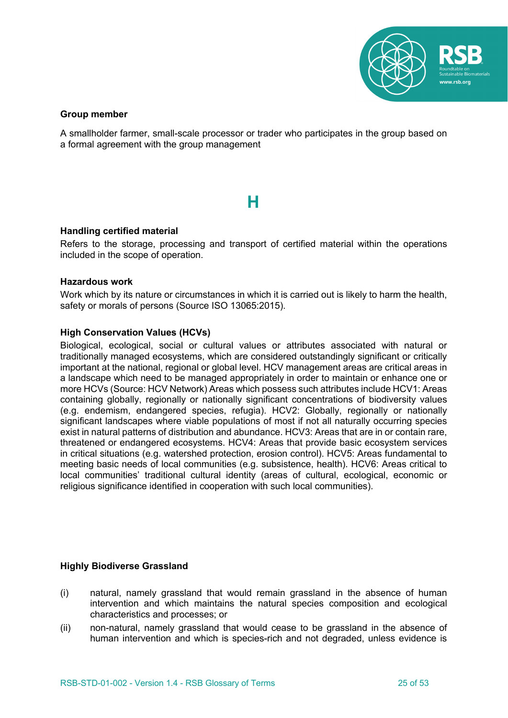

# **Group member**

A smallholder farmer, small-scale processor or trader who participates in the group based on a formal agreement with the group management

# **H**

# **Handling certified material**

Refers to the storage, processing and transport of certified material within the operations included in the scope of operation.

# **Hazardous work**

Work which by its nature or circumstances in which it is carried out is likely to harm the health, safety or morals of persons (Source ISO 13065:2015).

# **High Conservation Values (HCVs)**

Biological, ecological, social or cultural values or attributes associated with natural or traditionally managed ecosystems, which are considered outstandingly significant or critically important at the national, regional or global level. HCV management areas are critical areas in a landscape which need to be managed appropriately in order to maintain or enhance one or more HCVs (Source: HCV Network) Areas which possess such attributes include HCV1: Areas containing globally, regionally or nationally significant concentrations of biodiversity values (e.g. endemism, endangered species, refugia). HCV2: Globally, regionally or nationally significant landscapes where viable populations of most if not all naturally occurring species exist in natural patterns of distribution and abundance. HCV3: Areas that are in or contain rare, threatened or endangered ecosystems. HCV4: Areas that provide basic ecosystem services in critical situations (e.g. watershed protection, erosion control). HCV5: Areas fundamental to meeting basic needs of local communities (e.g. subsistence, health). HCV6: Areas critical to local communities' traditional cultural identity (areas of cultural, ecological, economic or religious significance identified in cooperation with such local communities).

#### **Highly Biodiverse Grassland**

- (i) natural, namely grassland that would remain grassland in the absence of human intervention and which maintains the natural species composition and ecological characteristics and processes; or
- (ii) non-natural, namely grassland that would cease to be grassland in the absence of human intervention and which is species-rich and not degraded, unless evidence is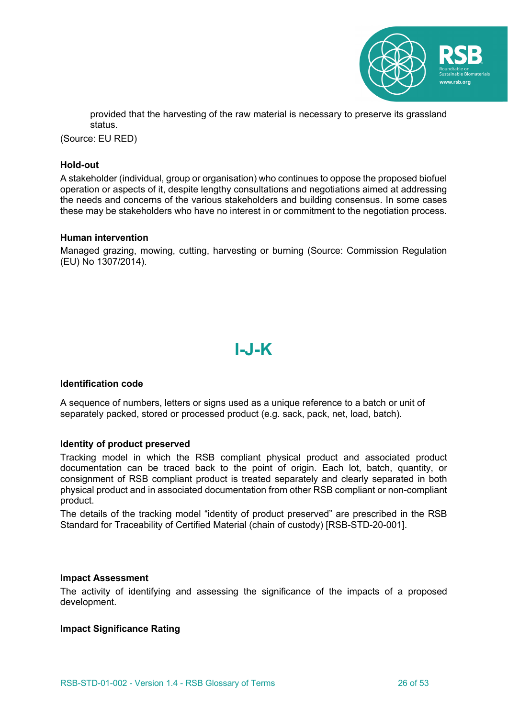

provided that the harvesting of the raw material is necessary to preserve its grassland status.

(Source: EU RED)

#### **Hold-out**

A stakeholder (individual, group or organisation) who continues to oppose the proposed biofuel operation or aspects of it, despite lengthy consultations and negotiations aimed at addressing the needs and concerns of the various stakeholders and building consensus. In some cases these may be stakeholders who have no interest in or commitment to the negotiation process.

### **Human intervention**

Managed grazing, mowing, cutting, harvesting or burning (Source: Commission Regulation (EU) No 1307/2014).

# **I-J-K**

#### **Identification code**

A sequence of numbers, letters or signs used as a unique reference to a batch or unit of separately packed, stored or processed product (e.g. sack, pack, net, load, batch).

#### **Identity of product preserved**

Tracking model in which the RSB compliant physical product and associated product documentation can be traced back to the point of origin. Each lot, batch, quantity, or consignment of RSB compliant product is treated separately and clearly separated in both physical product and in associated documentation from other RSB compliant or non-compliant product.

The details of the tracking model "identity of product preserved" are prescribed in the RSB Standard for Traceability of Certified Material (chain of custody) [RSB-STD-20-001].

#### **Impact Assessment**

The activity of identifying and assessing the significance of the impacts of a proposed development.

#### **Impact Significance Rating**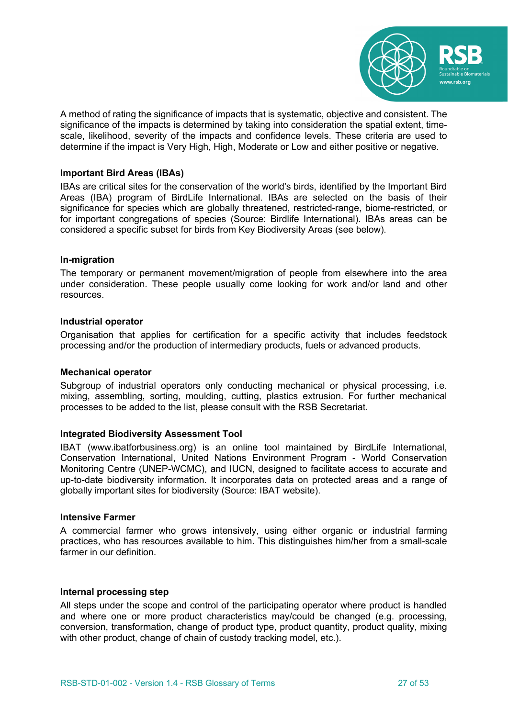

A method of rating the significance of impacts that is systematic, objective and consistent. The significance of the impacts is determined by taking into consideration the spatial extent, timescale, likelihood, severity of the impacts and confidence levels. These criteria are used to determine if the impact is Very High, High, Moderate or Low and either positive or negative.

#### **Important Bird Areas (IBAs)**

IBAs are critical sites for the conservation of the world's birds, identified by the Important Bird Areas (IBA) program of BirdLife International. IBAs are selected on the basis of their significance for species which are globally threatened, restricted-range, biome-restricted, or for important congregations of species (Source: Birdlife International). IBAs areas can be considered a specific subset for birds from Key Biodiversity Areas (see below).

#### **In-migration**

The temporary or permanent movement/migration of people from elsewhere into the area under consideration. These people usually come looking for work and/or land and other resources.

# **Industrial operator**

Organisation that applies for certification for a specific activity that includes feedstock processing and/or the production of intermediary products, fuels or advanced products.

#### **Mechanical operator**

Subgroup of industrial operators only conducting mechanical or physical processing, i.e. mixing, assembling, sorting, moulding, cutting, plastics extrusion. For further mechanical processes to be added to the list, please consult with the RSB Secretariat.

#### **Integrated Biodiversity Assessment Tool**

IBAT (www.ibatforbusiness.org) is an online tool maintained by BirdLife International, Conservation International, United Nations Environment Program - World Conservation Monitoring Centre (UNEP-WCMC), and IUCN, designed to facilitate access to accurate and up-to-date biodiversity information. It incorporates data on protected areas and a range of globally important sites for biodiversity (Source: IBAT website).

#### **Intensive Farmer**

A commercial farmer who grows intensively, using either organic or industrial farming practices, who has resources available to him. This distinguishes him/her from a small-scale farmer in our definition.

#### **Internal processing step**

All steps under the scope and control of the participating operator where product is handled and where one or more product characteristics may/could be changed (e.g. processing, conversion, transformation, change of product type, product quantity, product quality, mixing with other product, change of chain of custody tracking model, etc.).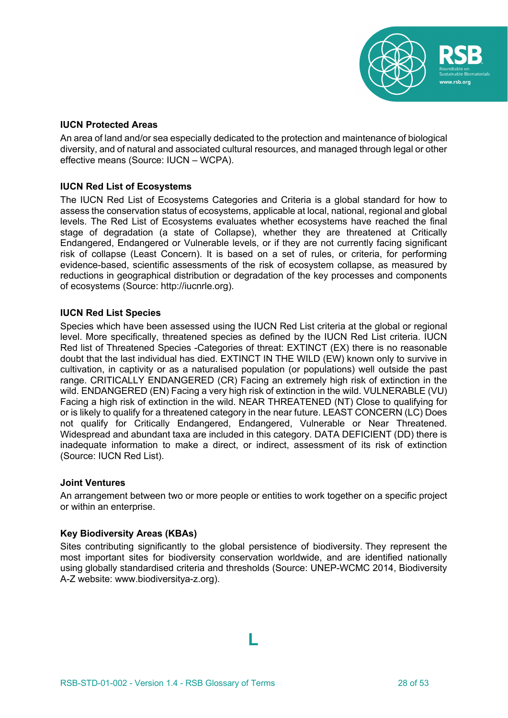

# **IUCN Protected Areas**

An area of land and/or sea especially dedicated to the protection and maintenance of biological diversity, and of natural and associated cultural resources, and managed through legal or other effective means (Source: IUCN – WCPA).

# **IUCN Red List of Ecosystems**

The IUCN Red List of Ecosystems Categories and Criteria is a global standard for how to assess the conservation status of ecosystems, applicable at local, national, regional and global levels. The Red List of Ecosystems evaluates whether ecosystems have reached the final stage of degradation (a state of Collapse), whether they are threatened at Critically Endangered, Endangered or Vulnerable levels, or if they are not currently facing significant risk of collapse (Least Concern). It is based on a set of rules, or criteria, for performing evidence-based, scientific assessments of the risk of ecosystem collapse, as measured by reductions in geographical distribution or degradation of the key processes and components of ecosystems (Source: http://iucnrle.org).

# **IUCN Red List Species**

Species which have been assessed using the IUCN Red List criteria at the global or regional level. More specifically, threatened species as defined by the IUCN Red List criteria. IUCN Red list of Threatened Species -Categories of threat: EXTINCT (EX) there is no reasonable doubt that the last individual has died. EXTINCT IN THE WILD (EW) known only to survive in cultivation, in captivity or as a naturalised population (or populations) well outside the past range. CRITICALLY ENDANGERED (CR) Facing an extremely high risk of extinction in the wild. ENDANGERED (EN) Facing a very high risk of extinction in the wild. VULNERABLE (VU) Facing a high risk of extinction in the wild. NEAR THREATENED (NT) Close to qualifying for or is likely to qualify for a threatened category in the near future. LEAST CONCERN (LC) Does not qualify for Critically Endangered, Endangered, Vulnerable or Near Threatened. Widespread and abundant taxa are included in this category. DATA DEFICIENT (DD) there is inadequate information to make a direct, or indirect, assessment of its risk of extinction (Source: IUCN Red List).

#### **Joint Ventures**

An arrangement between two or more people or entities to work together on a specific project or within an enterprise.

#### **Key Biodiversity Areas (KBAs)**

Sites contributing significantly to the global persistence of biodiversity. They represent the most important sites for biodiversity conservation worldwide, and are identified nationally using globally standardised criteria and thresholds (Source: UNEP-WCMC 2014, Biodiversity A-Z website: www.biodiversitya-z.org).

**L**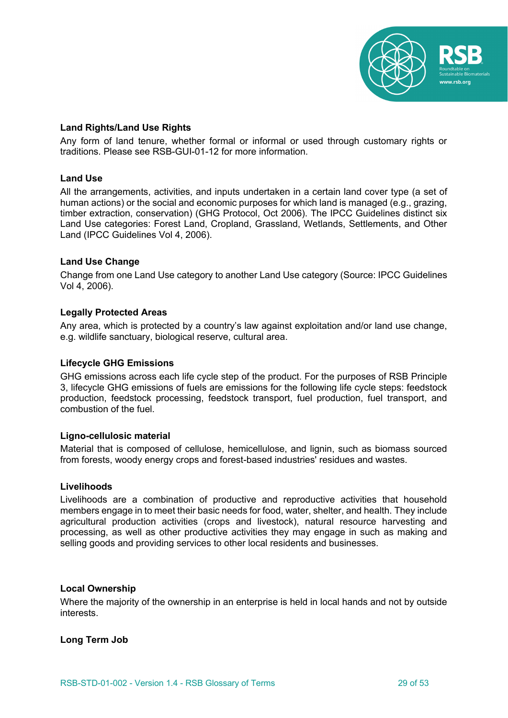

# **Land Rights/Land Use Rights**

Any form of land tenure, whether formal or informal or used through customary rights or traditions. Please see RSB-GUI-01-12 for more information.

#### **Land Use**

All the arrangements, activities, and inputs undertaken in a certain land cover type (a set of human actions) or the social and economic purposes for which land is managed (e.g., grazing, timber extraction, conservation) (GHG Protocol, Oct 2006). The IPCC Guidelines distinct six Land Use categories: Forest Land, Cropland, Grassland, Wetlands, Settlements, and Other Land (IPCC Guidelines Vol 4, 2006).

# **Land Use Change**

Change from one Land Use category to another Land Use category (Source: IPCC Guidelines Vol 4, 2006).

# **Legally Protected Areas**

Any area, which is protected by a country's law against exploitation and/or land use change, e.g. wildlife sanctuary, biological reserve, cultural area.

#### **Lifecycle GHG Emissions**

GHG emissions across each life cycle step of the product. For the purposes of RSB Principle 3, lifecycle GHG emissions of fuels are emissions for the following life cycle steps: feedstock production, feedstock processing, feedstock transport, fuel production, fuel transport, and combustion of the fuel.

#### **Ligno-cellulosic material**

Material that is composed of cellulose, hemicellulose, and lignin, such as biomass sourced from forests, woody energy crops and forest-based industries' residues and wastes.

#### **Livelihoods**

Livelihoods are a combination of productive and reproductive activities that household members engage in to meet their basic needs for food, water, shelter, and health. They include agricultural production activities (crops and livestock), natural resource harvesting and processing, as well as other productive activities they may engage in such as making and selling goods and providing services to other local residents and businesses.

#### **Local Ownership**

Where the majority of the ownership in an enterprise is held in local hands and not by outside interests.

#### **Long Term Job**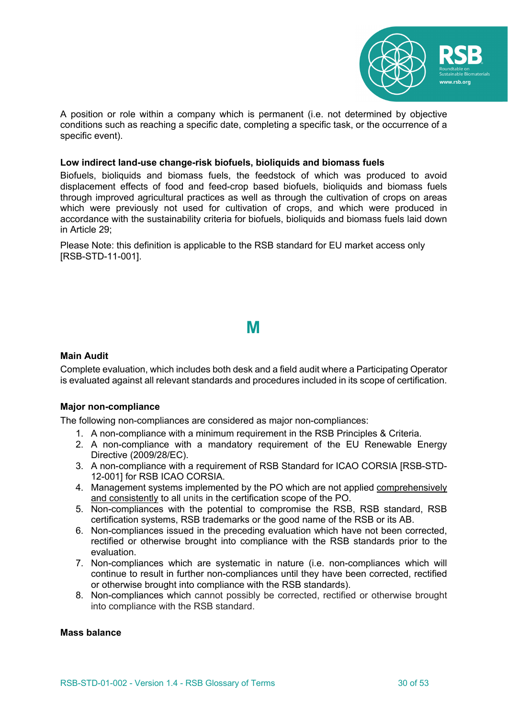

A position or role within a company which is permanent (i.e. not determined by objective conditions such as reaching a specific date, completing a specific task, or the occurrence of a specific event).

#### **Low indirect land-use change-risk biofuels, bioliquids and biomass fuels**

Biofuels, bioliquids and biomass fuels, the feedstock of which was produced to avoid displacement effects of food and feed-crop based biofuels, bioliquids and biomass fuels through improved agricultural practices as well as through the cultivation of crops on areas which were previously not used for cultivation of crops, and which were produced in accordance with the sustainability criteria for biofuels, bioliquids and biomass fuels laid down in Article 29;

Please Note: this definition is applicable to the RSB standard for EU market access only [RSB-STD-11-001].

# **M**

#### **Main Audit**

Complete evaluation, which includes both desk and a field audit where a Participating Operator is evaluated against all relevant standards and procedures included in its scope of certification.

#### **Major non-compliance**

The following non-compliances are considered as major non-compliances:

- 1. A non-compliance with a minimum requirement in the RSB Principles & Criteria.
- 2. A non-compliance with a mandatory requirement of the EU Renewable Energy Directive (2009/28/EC).
- 3. A non-compliance with a requirement of RSB Standard for ICAO CORSIA [RSB-STD-12-001] for RSB ICAO CORSIA.
- 4. Management systems implemented by the PO which are not applied comprehensively and consistently to all units in the certification scope of the PO.
- 5. Non-compliances with the potential to compromise the RSB, RSB standard, RSB certification systems, RSB trademarks or the good name of the RSB or its AB.
- 6. Non-compliances issued in the preceding evaluation which have not been corrected, rectified or otherwise brought into compliance with the RSB standards prior to the evaluation.
- 7. Non-compliances which are systematic in nature (i.e. non-compliances which will continue to result in further non-compliances until they have been corrected, rectified or otherwise brought into compliance with the RSB standards).
- 8. Non-compliances which cannot possibly be corrected, rectified or otherwise brought into compliance with the RSB standard.

#### **Mass balance**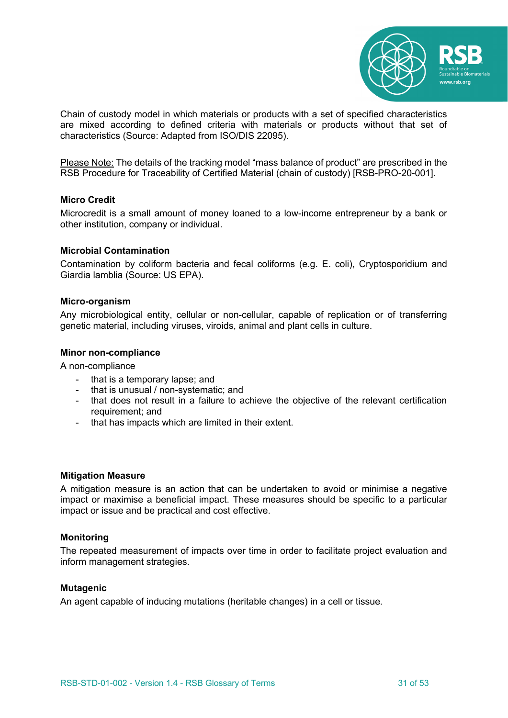

Chain of custody model in which materials or products with a set of specified characteristics are mixed according to defined criteria with materials or products without that set of characteristics (Source: Adapted from ISO/DIS 22095).

Please Note: The details of the tracking model "mass balance of product" are prescribed in the RSB Procedure for Traceability of Certified Material (chain of custody) [RSB-PRO-20-001].

#### **Micro Credit**

Microcredit is a small amount of money loaned to a low-income entrepreneur by a bank or other institution, company or individual.

#### **Microbial Contamination**

Contamination by coliform bacteria and fecal coliforms (e.g. E. coli), Cryptosporidium and Giardia lamblia (Source: US EPA).

#### **Micro-organism**

Any microbiological entity, cellular or non-cellular, capable of replication or of transferring genetic material, including viruses, viroids, animal and plant cells in culture.

#### **Minor non-compliance**

A non-compliance

- that is a temporary lapse; and
- that is unusual / non-systematic; and
- that does not result in a failure to achieve the objective of the relevant certification requirement; and
- that has impacts which are limited in their extent.

#### **Mitigation Measure**

A mitigation measure is an action that can be undertaken to avoid or minimise a negative impact or maximise a beneficial impact. These measures should be specific to a particular impact or issue and be practical and cost effective.

# **Monitoring**

The repeated measurement of impacts over time in order to facilitate project evaluation and inform management strategies.

#### **Mutagenic**

An agent capable of inducing mutations (heritable changes) in a cell or tissue.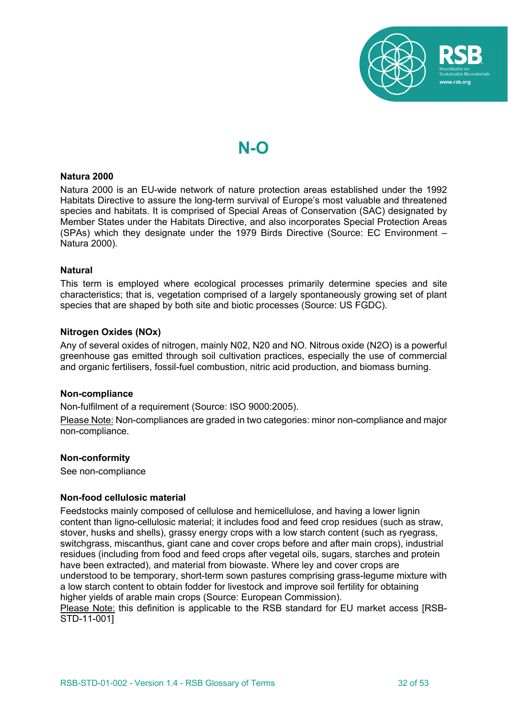

# **N-O**

#### **Natura 2000**

Natura 2000 is an EU-wide network of nature protection areas established under the 1992 Habitats Directive to assure the long-term survival of Europe's most valuable and threatened species and habitats. It is comprised of Special Areas of Conservation (SAC) designated by Member States under the Habitats Directive, and also incorporates Special Protection Areas (SPAs) which they designate under the 1979 Birds Directive (Source: EC Environment – Natura 2000).

#### **Natural**

This term is employed where ecological processes primarily determine species and site characteristics; that is, vegetation comprised of a largely spontaneously growing set of plant species that are shaped by both site and biotic processes (Source: US FGDC).

# **Nitrogen Oxides (NOx)**

Any of several oxides of nitrogen, mainly N02, N20 and NO. Nitrous oxide (N2O) is a powerful greenhouse gas emitted through soil cultivation practices, especially the use of commercial and organic fertilisers, fossil-fuel combustion, nitric acid production, and biomass burning.

#### **Non-compliance**

Non-fulfilment of a requirement (Source: ISO 9000:2005).

Please Note: Non-compliances are graded in two categories: minor non-compliance and major non-compliance.

#### **Non-conformity**

See non-compliance

#### **Non-food cellulosic material**

Feedstocks mainly composed of cellulose and hemicellulose, and having a lower lignin content than ligno-cellulosic material; it includes food and feed crop residues (such as straw, stover, husks and shells), grassy energy crops with a low starch content (such as ryegrass, switchgrass, miscanthus, giant cane and cover crops before and after main crops), industrial residues (including from food and feed crops after vegetal oils, sugars, starches and protein have been extracted), and material from biowaste. Where ley and cover crops are understood to be temporary, short-term sown pastures comprising grass-legume mixture with a low starch content to obtain fodder for livestock and improve soil fertility for obtaining higher yields of arable main crops (Source: European Commission). Please Note: this definition is applicable to the RSB standard for EU market access [RSB-

STD-11-001]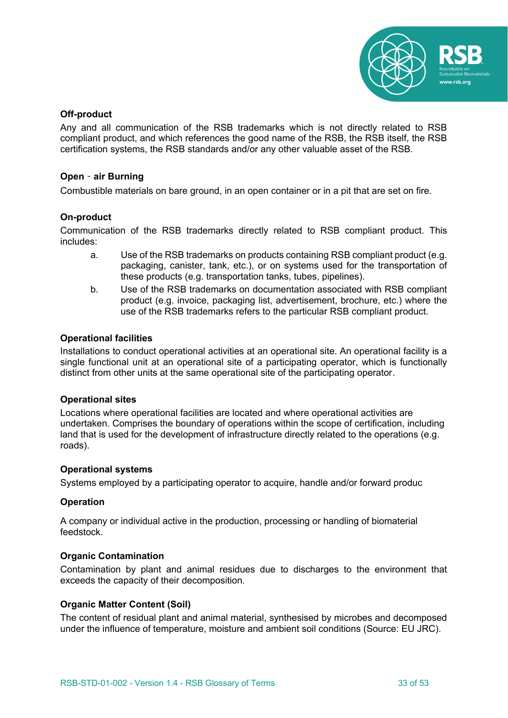

# **Off-product**

Any and all communication of the RSB trademarks which is not directly related to RSB compliant product, and which references the good name of the RSB, the RSB itself, the RSB certification systems, the RSB standards and/or any other valuable asset of the RSB.

# **Open**‐**air Burning**

Combustible materials on bare ground, in an open container or in a pit that are set on fire.

# **On-product**

Communication of the RSB trademarks directly related to RSB compliant product. This includes:

- a. Use of the RSB trademarks on products containing RSB compliant product (e.g. packaging, canister, tank, etc.), or on systems used for the transportation of these products (e.g. transportation tanks, tubes, pipelines).
- b. Use of the RSB trademarks on documentation associated with RSB compliant product (e.g. invoice, packaging list, advertisement, brochure, etc.) where the use of the RSB trademarks refers to the particular RSB compliant product.

#### **Operational facilities**

Installations to conduct operational activities at an operational site. An operational facility is a single functional unit at an operational site of a participating operator, which is functionally distinct from other units at the same operational site of the participating operator.

#### **Operational sites**

Locations where operational facilities are located and where operational activities are undertaken. Comprises the boundary of operations within the scope of certification, including land that is used for the development of infrastructure directly related to the operations (e.g. roads).

#### **Operational systems**

Systems employed by a participating operator to acquire, handle and/or forward produc

#### **Operation**

A company or individual active in the production, processing or handling of biomaterial feedstock.

#### **Organic Contamination**

Contamination by plant and animal residues due to discharges to the environment that exceeds the capacity of their decomposition.

# **Organic Matter Content (Soil)**

The content of residual plant and animal material, synthesised by microbes and decomposed under the influence of temperature, moisture and ambient soil conditions (Source: EU JRC).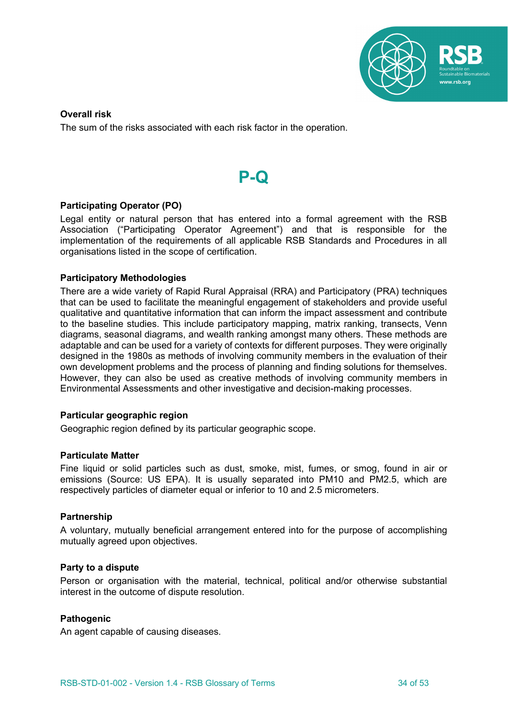

# **Overall risk**

The sum of the risks associated with each risk factor in the operation.



# **Participating Operator (PO)**

Legal entity or natural person that has entered into a formal agreement with the RSB Association ("Participating Operator Agreement") and that is responsible for the implementation of the requirements of all applicable RSB Standards and Procedures in all organisations listed in the scope of certification.

# **Participatory Methodologies**

There are a wide variety of Rapid Rural Appraisal (RRA) and Participatory (PRA) techniques that can be used to facilitate the meaningful engagement of stakeholders and provide useful qualitative and quantitative information that can inform the impact assessment and contribute to the baseline studies. This include participatory mapping, matrix ranking, transects, Venn diagrams, seasonal diagrams, and wealth ranking amongst many others. These methods are adaptable and can be used for a variety of contexts for different purposes. They were originally designed in the 1980s as methods of involving community members in the evaluation of their own development problems and the process of planning and finding solutions for themselves. However, they can also be used as creative methods of involving community members in Environmental Assessments and other investigative and decision-making processes.

#### **Particular geographic region**

Geographic region defined by its particular geographic scope.

#### **Particulate Matter**

Fine liquid or solid particles such as dust, smoke, mist, fumes, or smog, found in air or emissions (Source: US EPA). It is usually separated into PM10 and PM2.5, which are respectively particles of diameter equal or inferior to 10 and 2.5 micrometers.

#### **Partnership**

A voluntary, mutually beneficial arrangement entered into for the purpose of accomplishing mutually agreed upon objectives.

#### **Party to a dispute**

Person or organisation with the material, technical, political and/or otherwise substantial interest in the outcome of dispute resolution.

#### **Pathogenic**

An agent capable of causing diseases.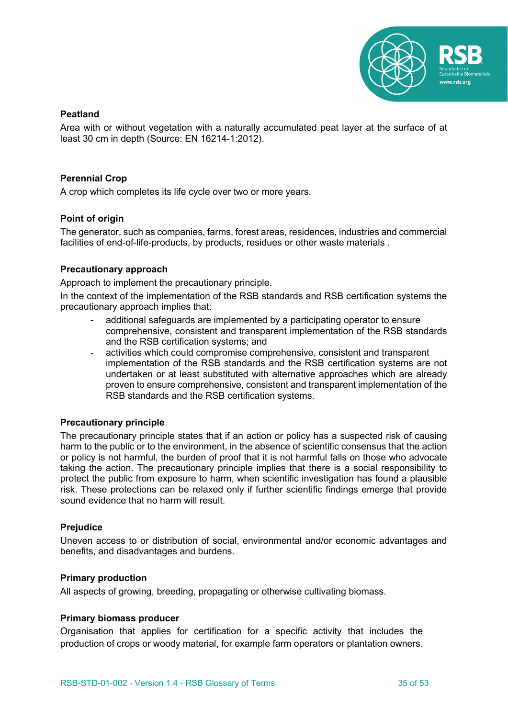

# **Peatland**

Area with or without vegetation with a naturally accumulated peat layer at the surface of at least 30 cm in depth (Source: EN 16214-1:2012).

# **Perennial Crop**

A crop which completes its life cycle over two or more years.

# **Point of origin**

The generator, such as companies, farms, forest areas, residences, industries and commercial facilities of end-of-life-products, by products, residues or other waste materials .

# **Precautionary approach**

Approach to implement the precautionary principle.

In the context of the implementation of the RSB standards and RSB certification systems the precautionary approach implies that:

- additional safeguards are implemented by a participating operator to ensure comprehensive, consistent and transparent implementation of the RSB standards and the RSB certification systems; and
- activities which could compromise comprehensive, consistent and transparent implementation of the RSB standards and the RSB certification systems are not undertaken or at least substituted with alternative approaches which are already proven to ensure comprehensive, consistent and transparent implementation of the RSB standards and the RSB certification systems.

# **Precautionary principle**

The precautionary principle states that if an action or policy has a suspected risk of causing harm to the public or to the environment, in the absence of scientific consensus that the action or policy is not harmful, the burden of proof that it is not harmful falls on those who advocate taking the action. The precautionary principle implies that there is a social responsibility to protect the public from exposure to harm, when scientific investigation has found a plausible risk. These protections can be relaxed only if further scientific findings emerge that provide sound evidence that no harm will result.

#### **Prejudice**

Uneven access to or distribution of social, environmental and/or economic advantages and benefits, and disadvantages and burdens.

#### **Primary production**

All aspects of growing, breeding, propagating or otherwise cultivating biomass.

#### **Primary biomass producer**

Organisation that applies for certification for a specific activity that includes the production of crops or woody material, for example farm operators or plantation owners.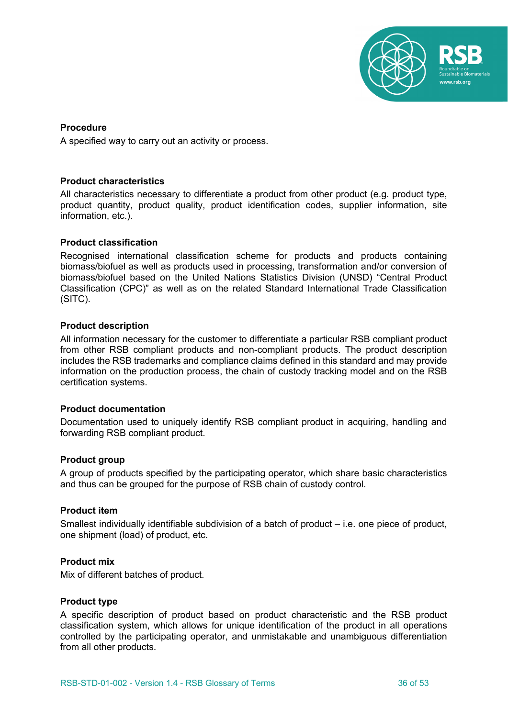

# **Procedure**

A specified way to carry out an activity or process.

#### **Product characteristics**

All characteristics necessary to differentiate a product from other product (e.g. product type, product quantity, product quality, product identification codes, supplier information, site information, etc.).

# **Product classification**

Recognised international classification scheme for products and products containing biomass/biofuel as well as products used in processing, transformation and/or conversion of biomass/biofuel based on the United Nations Statistics Division (UNSD) "Central Product Classification (CPC)" as well as on the related Standard International Trade Classification (SITC).

# **Product description**

All information necessary for the customer to differentiate a particular RSB compliant product from other RSB compliant products and non-compliant products. The product description includes the RSB trademarks and compliance claims defined in this standard and may provide information on the production process, the chain of custody tracking model and on the RSB certification systems.

#### **Product documentation**

Documentation used to uniquely identify RSB compliant product in acquiring, handling and forwarding RSB compliant product.

#### **Product group**

A group of products specified by the participating operator, which share basic characteristics and thus can be grouped for the purpose of RSB chain of custody control.

### **Product item**

Smallest individually identifiable subdivision of a batch of product – i.e. one piece of product, one shipment (load) of product, etc.

#### **Product mix**

Mix of different batches of product.

#### **Product type**

A specific description of product based on product characteristic and the RSB product classification system, which allows for unique identification of the product in all operations controlled by the participating operator, and unmistakable and unambiguous differentiation from all other products.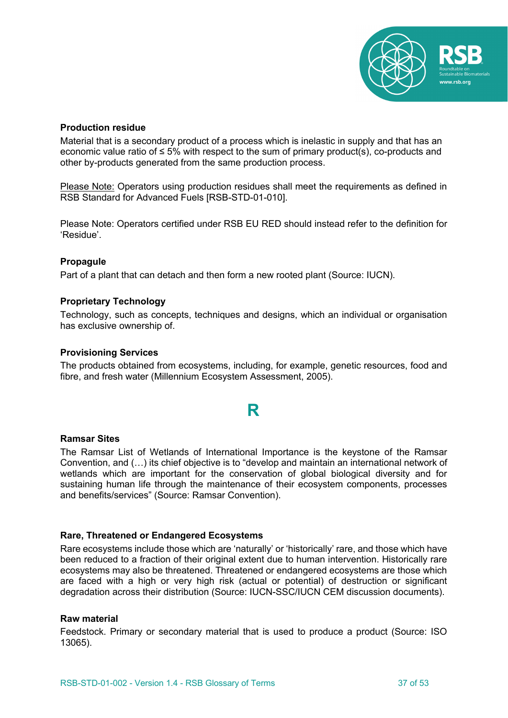

### **Production residue**

Material that is a secondary product of a process which is inelastic in supply and that has an economic value ratio of  $\leq 5\%$  with respect to the sum of primary product(s), co-products and other by-products generated from the same production process.

Please Note: Operators using production residues shall meet the requirements as defined in RSB Standard for Advanced Fuels [RSB-STD-01-010].

Please Note: Operators certified under RSB EU RED should instead refer to the definition for 'Residue'.

# **Propagule**

Part of a plant that can detach and then form a new rooted plant (Source: IUCN).

#### **Proprietary Technology**

Technology, such as concepts, techniques and designs, which an individual or organisation has exclusive ownership of.

#### **Provisioning Services**

The products obtained from ecosystems, including, for example, genetic resources, food and fibre, and fresh water (Millennium Ecosystem Assessment, 2005).

# **R**

#### **Ramsar Sites**

The Ramsar List of Wetlands of International Importance is the keystone of the Ramsar Convention, and (…) its chief objective is to "develop and maintain an international network of wetlands which are important for the conservation of global biological diversity and for sustaining human life through the maintenance of their ecosystem components, processes and benefits/services" (Source: Ramsar Convention).

#### **Rare, Threatened or Endangered Ecosystems**

Rare ecosystems include those which are 'naturally' or 'historically' rare, and those which have been reduced to a fraction of their original extent due to human intervention. Historically rare ecosystems may also be threatened. Threatened or endangered ecosystems are those which are faced with a high or very high risk (actual or potential) of destruction or significant degradation across their distribution (Source: IUCN-SSC/IUCN CEM discussion documents).

#### **Raw material**

Feedstock. Primary or secondary material that is used to produce a product (Source: ISO 13065).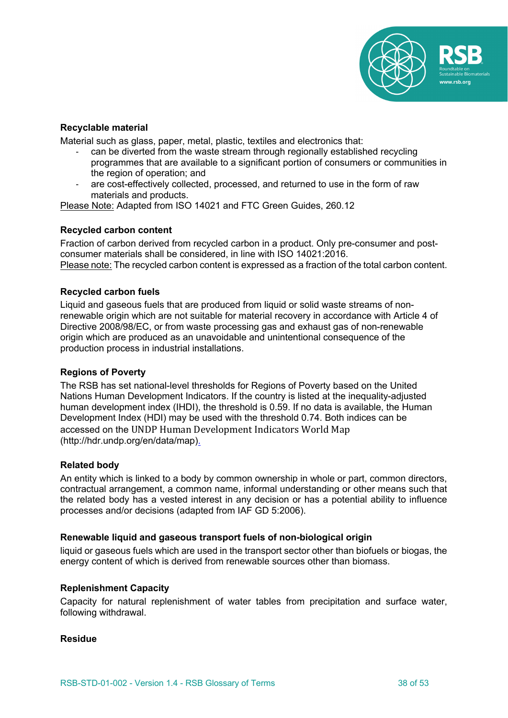

# **Recyclable material**

Material such as glass, paper, metal, plastic, textiles and electronics that:

- can be diverted from the waste stream through regionally established recycling programmes that are available to a significant portion of consumers or communities in the region of operation; and
- are cost-effectively collected, processed, and returned to use in the form of raw materials and products.

Please Note: Adapted from ISO 14021 and FTC Green Guides, 260.12

# **Recycled carbon content**

Fraction of carbon derived from recycled carbon in a product. Only pre-consumer and postconsumer materials shall be considered, in line with ISO 14021:2016. Please note: The recycled carbon content is expressed as a fraction of the total carbon content.

# **Recycled carbon fuels**

Liquid and gaseous fuels that are produced from liquid or solid waste streams of nonrenewable origin which are not suitable for material recovery in accordance with Article 4 of Directive 2008/98/EC, or from waste processing gas and exhaust gas of non-renewable origin which are produced as an unavoidable and unintentional consequence of the production process in industrial installations.

#### **Regions of Poverty**

The RSB has set national-level thresholds for Regions of Poverty based on the United Nations Human Development Indicators. If the country is listed at the inequality-adjusted human development index (IHDI), the threshold is 0.59. If no data is available, the Human Development Index (HDI) may be used with the threshold 0.74. Both indices can be accessed on the UNDP Human Development Indicators World Map (http://hdr.undp.org/en/data/map).

#### **Related body**

An entity which is linked to a body by common ownership in whole or part, common directors, contractual arrangement, a common name, informal understanding or other means such that the related body has a vested interest in any decision or has a potential ability to influence processes and/or decisions (adapted from IAF GD 5:2006).

#### **Renewable liquid and gaseous transport fuels of non-biological origin**

liquid or gaseous fuels which are used in the transport sector other than biofuels or biogas, the energy content of which is derived from renewable sources other than biomass.

#### **Replenishment Capacity**

Capacity for natural replenishment of water tables from precipitation and surface water, following withdrawal.

#### **Residue**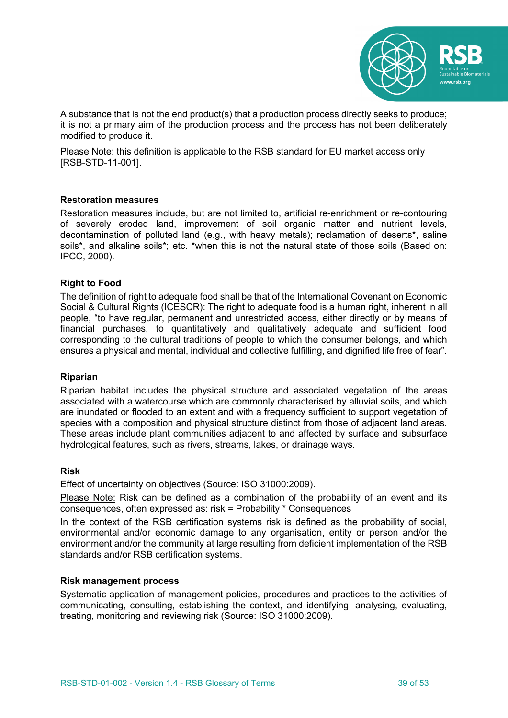

A substance that is not the end product(s) that a production process directly seeks to produce; it is not a primary aim of the production process and the process has not been deliberately modified to produce it.

Please Note: this definition is applicable to the RSB standard for EU market access only [RSB-STD-11-001].

# **Restoration measures**

Restoration measures include, but are not limited to, artificial re-enrichment or re-contouring of severely eroded land, improvement of soil organic matter and nutrient levels, decontamination of polluted land (e.g., with heavy metals); reclamation of deserts\*, saline soils\*, and alkaline soils\*; etc. \*when this is not the natural state of those soils (Based on: IPCC, 2000).

# **Right to Food**

The definition of right to adequate food shall be that of the International Covenant on Economic Social & Cultural Rights (ICESCR): The right to adequate food is a human right, inherent in all people, "to have regular, permanent and unrestricted access, either directly or by means of financial purchases, to quantitatively and qualitatively adequate and sufficient food corresponding to the cultural traditions of people to which the consumer belongs, and which ensures a physical and mental, individual and collective fulfilling, and dignified life free of fear".

#### **Riparian**

Riparian habitat includes the physical structure and associated vegetation of the areas associated with a watercourse which are commonly characterised by alluvial soils, and which are inundated or flooded to an extent and with a frequency sufficient to support vegetation of species with a composition and physical structure distinct from those of adjacent land areas. These areas include plant communities adjacent to and affected by surface and subsurface hydrological features, such as rivers, streams, lakes, or drainage ways.

#### **Risk**

Effect of uncertainty on objectives (Source: ISO 31000:2009).

Please Note: Risk can be defined as a combination of the probability of an event and its consequences, often expressed as: risk = Probability \* Consequences

In the context of the RSB certification systems risk is defined as the probability of social, environmental and/or economic damage to any organisation, entity or person and/or the environment and/or the community at large resulting from deficient implementation of the RSB standards and/or RSB certification systems.

#### **Risk management process**

Systematic application of management policies, procedures and practices to the activities of communicating, consulting, establishing the context, and identifying, analysing, evaluating, treating, monitoring and reviewing risk (Source: ISO 31000:2009).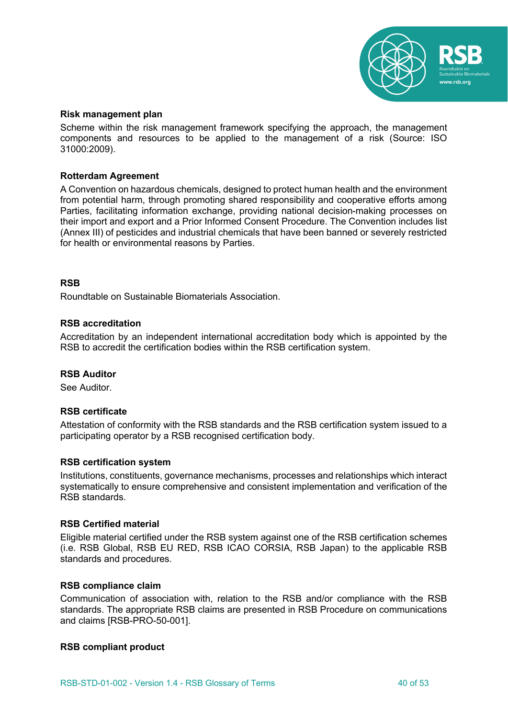

#### **Risk management plan**

Scheme within the risk management framework specifying the approach, the management components and resources to be applied to the management of a risk (Source: ISO 31000:2009).

# **Rotterdam Agreement**

A Convention on hazardous chemicals, designed to protect human health and the environment from potential harm, through promoting shared responsibility and cooperative efforts among Parties, facilitating information exchange, providing national decision-making processes on their import and export and a Prior Informed Consent Procedure. The Convention includes list (Annex III) of pesticides and industrial chemicals that have been banned or severely restricted for health or environmental reasons by Parties.

# **RSB**

Roundtable on Sustainable Biomaterials Association.

# **RSB accreditation**

Accreditation by an independent international accreditation body which is appointed by the RSB to accredit the certification bodies within the RSB certification system.

#### **RSB Auditor**

See Auditor.

#### **RSB certificate**

Attestation of conformity with the RSB standards and the RSB certification system issued to a participating operator by a RSB recognised certification body.

#### **RSB certification system**

Institutions, constituents, governance mechanisms, processes and relationships which interact systematically to ensure comprehensive and consistent implementation and verification of the RSB standards.

#### **RSB Certified material**

Eligible material certified under the RSB system against one of the RSB certification schemes (i.e. RSB Global, RSB EU RED, RSB ICAO CORSIA, RSB Japan) to the applicable RSB standards and procedures.

#### **RSB compliance claim**

Communication of association with, relation to the RSB and/or compliance with the RSB standards. The appropriate RSB claims are presented in RSB Procedure on communications and claims [RSB-PRO-50-001].

#### **RSB compliant product**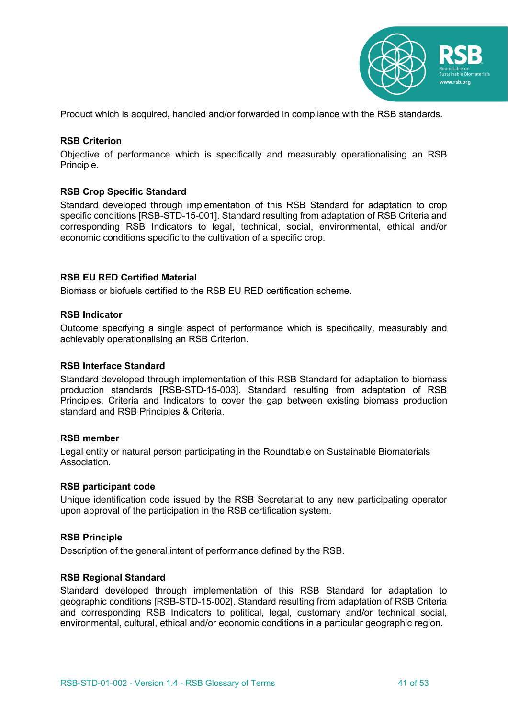

Product which is acquired, handled and/or forwarded in compliance with the RSB standards.

### **RSB Criterion**

Objective of performance which is specifically and measurably operationalising an RSB Principle.

# **RSB Crop Specific Standard**

Standard developed through implementation of this RSB Standard for adaptation to crop specific conditions [RSB-STD-15-001]. Standard resulting from adaptation of RSB Criteria and corresponding RSB Indicators to legal, technical, social, environmental, ethical and/or economic conditions specific to the cultivation of a specific crop.

#### **RSB EU RED Certified Material**

Biomass or biofuels certified to the RSB EU RED certification scheme.

# **RSB Indicator**

Outcome specifying a single aspect of performance which is specifically, measurably and achievably operationalising an RSB Criterion.

#### **RSB Interface Standard**

Standard developed through implementation of this RSB Standard for adaptation to biomass production standards [RSB-STD-15-003]. Standard resulting from adaptation of RSB Principles, Criteria and Indicators to cover the gap between existing biomass production standard and RSB Principles & Criteria.

#### **RSB member**

Legal entity or natural person participating in the Roundtable on Sustainable Biomaterials Association.

#### **RSB participant code**

Unique identification code issued by the RSB Secretariat to any new participating operator upon approval of the participation in the RSB certification system.

#### **RSB Principle**

Description of the general intent of performance defined by the RSB.

#### **RSB Regional Standard**

Standard developed through implementation of this RSB Standard for adaptation to geographic conditions [RSB-STD-15-002]. Standard resulting from adaptation of RSB Criteria and corresponding RSB Indicators to political, legal, customary and/or technical social, environmental, cultural, ethical and/or economic conditions in a particular geographic region.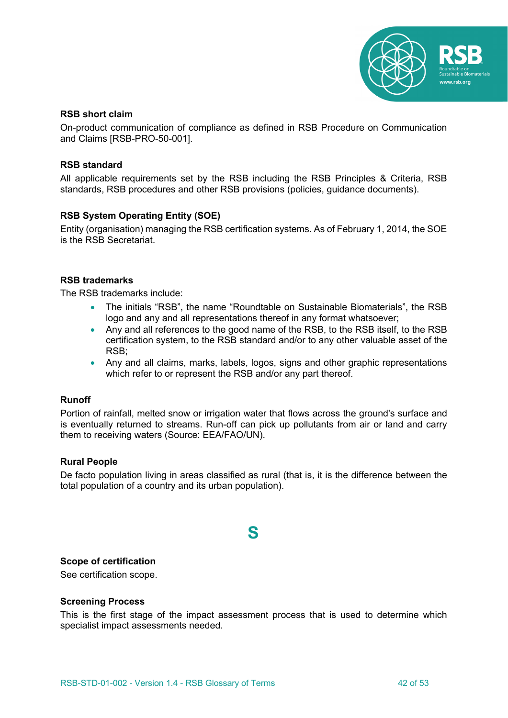

# **RSB short claim**

On-product communication of compliance as defined in RSB Procedure on Communication and Claims [RSB-PRO-50-001].

# **RSB standard**

All applicable requirements set by the RSB including the RSB Principles & Criteria, RSB standards, RSB procedures and other RSB provisions (policies, guidance documents).

# **RSB System Operating Entity (SOE)**

Entity (organisation) managing the RSB certification systems. As of February 1, 2014, the SOE is the RSB Secretariat.

# **RSB trademarks**

The RSB trademarks include:

- The initials "RSB", the name "Roundtable on Sustainable Biomaterials", the RSB logo and any and all representations thereof in any format whatsoever;
- Any and all references to the good name of the RSB, to the RSB itself, to the RSB certification system, to the RSB standard and/or to any other valuable asset of the RSB;
- Any and all claims, marks, labels, logos, signs and other graphic representations which refer to or represent the RSB and/or any part thereof.

#### **Runoff**

Portion of rainfall, melted snow or irrigation water that flows across the ground's surface and is eventually returned to streams. Run-off can pick up pollutants from air or land and carry them to receiving waters (Source: EEA/FAO/UN).

# **Rural People**

De facto population living in areas classified as rural (that is, it is the difference between the total population of a country and its urban population).

# **S**

# **Scope of certification**

See certification scope.

#### **Screening Process**

This is the first stage of the impact assessment process that is used to determine which specialist impact assessments needed.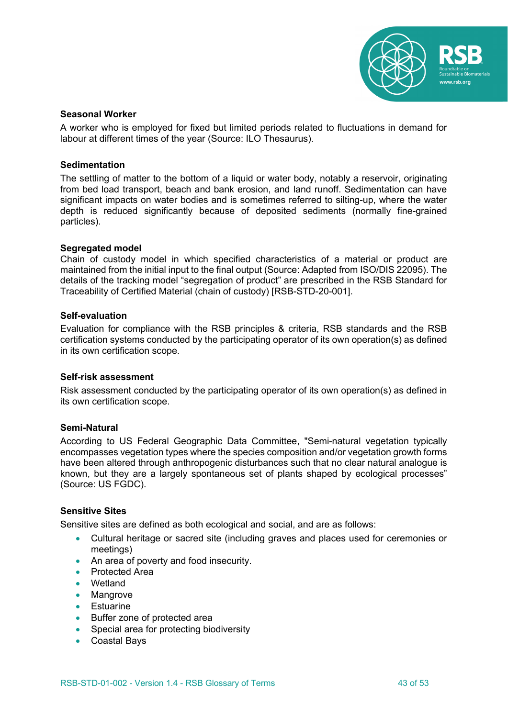

# **Seasonal Worker**

A worker who is employed for fixed but limited periods related to fluctuations in demand for labour at different times of the year (Source: ILO Thesaurus).

### **Sedimentation**

The settling of matter to the bottom of a liquid or water body, notably a reservoir, originating from bed load transport, beach and bank erosion, and land runoff. Sedimentation can have significant impacts on water bodies and is sometimes referred to silting-up, where the water depth is reduced significantly because of deposited sediments (normally fine-grained particles).

# **Segregated model**

Chain of custody model in which specified characteristics of a material or product are maintained from the initial input to the final output (Source: Adapted from ISO/DIS 22095). The details of the tracking model "segregation of product" are prescribed in the RSB Standard for Traceability of Certified Material (chain of custody) [RSB-STD-20-001].

#### **Self-evaluation**

Evaluation for compliance with the RSB principles & criteria, RSB standards and the RSB certification systems conducted by the participating operator of its own operation(s) as defined in its own certification scope.

#### **Self-risk assessment**

Risk assessment conducted by the participating operator of its own operation(s) as defined in its own certification scope.

# **Semi-Natural**

According to US Federal Geographic Data Committee, "Semi-natural vegetation typically encompasses vegetation types where the species composition and/or vegetation growth forms have been altered through anthropogenic disturbances such that no clear natural analogue is known, but they are a largely spontaneous set of plants shaped by ecological processes" (Source: US FGDC).

# **Sensitive Sites**

Sensitive sites are defined as both ecological and social, and are as follows:

- Cultural heritage or sacred site (including graves and places used for ceremonies or meetings)
- An area of poverty and food insecurity.
- Protected Area
- Wetland
- Mangrove
- Estuarine
- Buffer zone of protected area
- Special area for protecting biodiversity
- Coastal Bays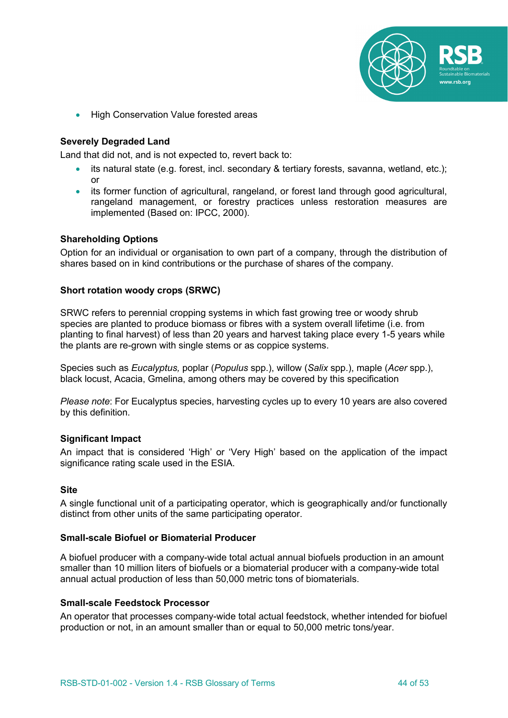

• High Conservation Value forested areas

# **Severely Degraded Land**

Land that did not, and is not expected to, revert back to:

- its natural state (e.g. forest, incl. secondary & tertiary forests, savanna, wetland, etc.); or
- its former function of agricultural, rangeland, or forest land through good agricultural, rangeland management, or forestry practices unless restoration measures are implemented (Based on: IPCC, 2000).

#### **Shareholding Options**

Option for an individual or organisation to own part of a company, through the distribution of shares based on in kind contributions or the purchase of shares of the company.

# **Short rotation woody crops (SRWC)**

SRWC refers to perennial cropping systems in which fast growing tree or woody shrub species are planted to produce biomass or fibres with a system overall lifetime (i.e. from planting to final harvest) of less than 20 years and harvest taking place every 1-5 years while the plants are re-grown with single stems or as coppice systems.

Species such as *Eucalyptus,* poplar (*Populus* spp.), willow (*Salix* spp.), maple (*Acer* spp.), black locust, Acacia, Gmelina, among others may be covered by this specification

*Please note*: For Eucalyptus species, harvesting cycles up to every 10 years are also covered by this definition.

#### **Significant Impact**

An impact that is considered 'High' or 'Very High' based on the application of the impact significance rating scale used in the ESIA.

#### **Site**

A single functional unit of a participating operator, which is geographically and/or functionally distinct from other units of the same participating operator.

#### **Small-scale Biofuel or Biomaterial Producer**

A biofuel producer with a company-wide total actual annual biofuels production in an amount smaller than 10 million liters of biofuels or a biomaterial producer with a company-wide total annual actual production of less than 50,000 metric tons of biomaterials.

#### **Small-scale Feedstock Processor**

An operator that processes company-wide total actual feedstock, whether intended for biofuel production or not, in an amount smaller than or equal to 50,000 metric tons/year.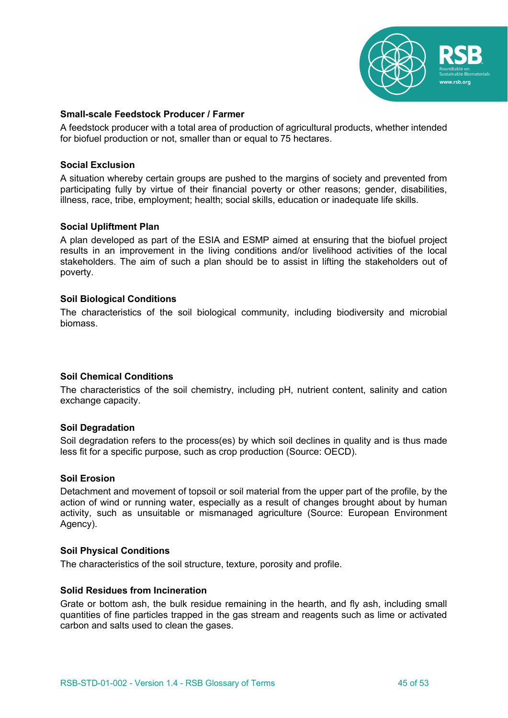

# **Small-scale Feedstock Producer / Farmer**

A feedstock producer with a total area of production of agricultural products, whether intended for biofuel production or not, smaller than or equal to 75 hectares.

### **Social Exclusion**

A situation whereby certain groups are pushed to the margins of society and prevented from participating fully by virtue of their financial poverty or other reasons; gender, disabilities, illness, race, tribe, employment; health; social skills, education or inadequate life skills.

# **Social Upliftment Plan**

A plan developed as part of the ESIA and ESMP aimed at ensuring that the biofuel project results in an improvement in the living conditions and/or livelihood activities of the local stakeholders. The aim of such a plan should be to assist in lifting the stakeholders out of poverty.

#### **Soil Biological Conditions**

The characteristics of the soil biological community, including biodiversity and microbial biomass.

#### **Soil Chemical Conditions**

The characteristics of the soil chemistry, including pH, nutrient content, salinity and cation exchange capacity.

#### **Soil Degradation**

Soil degradation refers to the process(es) by which soil declines in quality and is thus made less fit for a specific purpose, such as crop production (Source: OECD).

#### **Soil Erosion**

Detachment and movement of topsoil or soil material from the upper part of the profile, by the action of wind or running water, especially as a result of changes brought about by human activity, such as unsuitable or mismanaged agriculture (Source: European Environment Agency).

#### **Soil Physical Conditions**

The characteristics of the soil structure, texture, porosity and profile.

#### **Solid Residues from Incineration**

Grate or bottom ash, the bulk residue remaining in the hearth, and fly ash, including small quantities of fine particles trapped in the gas stream and reagents such as lime or activated carbon and salts used to clean the gases.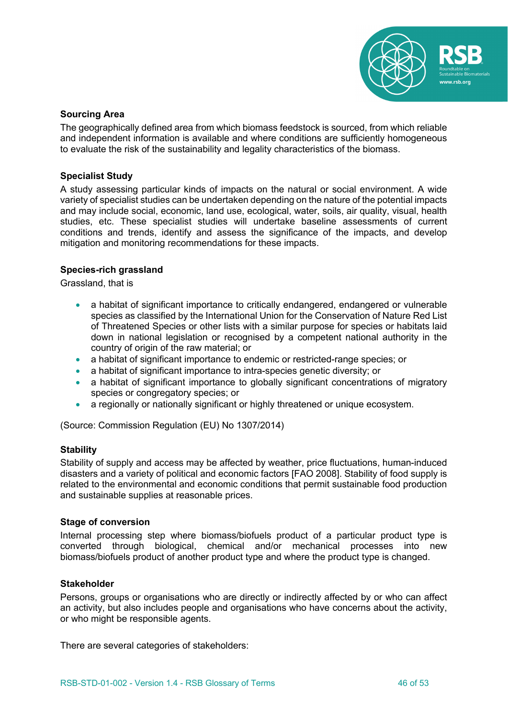

# **Sourcing Area**

The geographically defined area from which biomass feedstock is sourced, from which reliable and independent information is available and where conditions are sufficiently homogeneous to evaluate the risk of the sustainability and legality characteristics of the biomass.

### **Specialist Study**

A study assessing particular kinds of impacts on the natural or social environment. A wide variety of specialist studies can be undertaken depending on the nature of the potential impacts and may include social, economic, land use, ecological, water, soils, air quality, visual, health studies, etc. These specialist studies will undertake baseline assessments of current conditions and trends, identify and assess the significance of the impacts, and develop mitigation and monitoring recommendations for these impacts.

# **Species-rich grassland**

Grassland, that is

- a habitat of significant importance to critically endangered, endangered or vulnerable species as classified by the International Union for the Conservation of Nature Red List of Threatened Species or other lists with a similar purpose for species or habitats laid down in national legislation or recognised by a competent national authority in the country of origin of the raw material; or
- a habitat of significant importance to endemic or restricted-range species; or
- a habitat of significant importance to intra-species genetic diversity; or
- a habitat of significant importance to globally significant concentrations of migratory species or congregatory species; or
- a regionally or nationally significant or highly threatened or unique ecosystem.

(Source: Commission Regulation (EU) No 1307/2014)

#### **Stability**

Stability of supply and access may be affected by weather, price fluctuations, human-induced disasters and a variety of political and economic factors [FAO 2008]. Stability of food supply is related to the environmental and economic conditions that permit sustainable food production and sustainable supplies at reasonable prices.

#### **Stage of conversion**

Internal processing step where biomass/biofuels product of a particular product type is converted through biological, chemical and/or mechanical processes into new biomass/biofuels product of another product type and where the product type is changed.

#### **Stakeholder**

Persons, groups or organisations who are directly or indirectly affected by or who can affect an activity, but also includes people and organisations who have concerns about the activity, or who might be responsible agents.

There are several categories of stakeholders: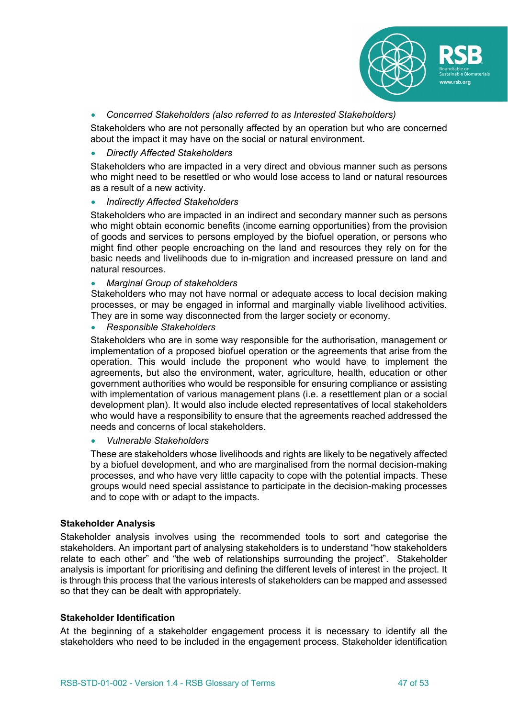

• *Concerned Stakeholders (also referred to as Interested Stakeholders)*

Stakeholders who are not personally affected by an operation but who are concerned about the impact it may have on the social or natural environment.

# • *Directly Affected Stakeholders*

Stakeholders who are impacted in a very direct and obvious manner such as persons who might need to be resettled or who would lose access to land or natural resources as a result of a new activity.

• *Indirectly Affected Stakeholders*

Stakeholders who are impacted in an indirect and secondary manner such as persons who might obtain economic benefits (income earning opportunities) from the provision of goods and services to persons employed by the biofuel operation, or persons who might find other people encroaching on the land and resources they rely on for the basic needs and livelihoods due to in-migration and increased pressure on land and natural resources.

#### • *Marginal Group of stakeholders*

Stakeholders who may not have normal or adequate access to local decision making processes, or may be engaged in informal and marginally viable livelihood activities. They are in some way disconnected from the larger society or economy.

• *Responsible Stakeholders*

Stakeholders who are in some way responsible for the authorisation, management or implementation of a proposed biofuel operation or the agreements that arise from the operation. This would include the proponent who would have to implement the agreements, but also the environment, water, agriculture, health, education or other government authorities who would be responsible for ensuring compliance or assisting with implementation of various management plans (i.e. a resettlement plan or a social development plan). It would also include elected representatives of local stakeholders who would have a responsibility to ensure that the agreements reached addressed the needs and concerns of local stakeholders.

• *Vulnerable Stakeholders*

These are stakeholders whose livelihoods and rights are likely to be negatively affected by a biofuel development, and who are marginalised from the normal decision-making processes, and who have very little capacity to cope with the potential impacts. These groups would need special assistance to participate in the decision-making processes and to cope with or adapt to the impacts.

# **Stakeholder Analysis**

Stakeholder analysis involves using the recommended tools to sort and categorise the stakeholders. An important part of analysing stakeholders is to understand "how stakeholders relate to each other" and "the web of relationships surrounding the project". Stakeholder analysis is important for prioritising and defining the different levels of interest in the project. It is through this process that the various interests of stakeholders can be mapped and assessed so that they can be dealt with appropriately.

#### **Stakeholder Identification**

At the beginning of a stakeholder engagement process it is necessary to identify all the stakeholders who need to be included in the engagement process. Stakeholder identification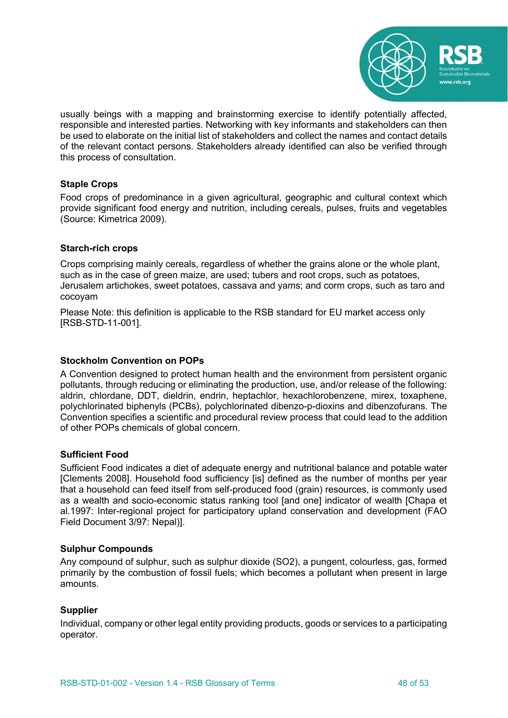

usually beings with a mapping and brainstorming exercise to identify potentially affected, responsible and interested parties. Networking with key informants and stakeholders can then be used to elaborate on the initial list of stakeholders and collect the names and contact details of the relevant contact persons. Stakeholders already identified can also be verified through this process of consultation.

# **Staple Crops**

Food crops of predominance in a given agricultural, geographic and cultural context which provide significant food energy and nutrition, including cereals, pulses, fruits and vegetables (Source: Kimetrica 2009).

# **Starch-rich crops**

Crops comprising mainly cereals, regardless of whether the grains alone or the whole plant, such as in the case of green maize, are used; tubers and root crops, such as potatoes, Jerusalem artichokes, sweet potatoes, cassava and yams; and corm crops, such as taro and cocoyam

Please Note: this definition is applicable to the RSB standard for EU market access only [RSB-STD-11-001].

### **Stockholm Convention on POPs**

A Convention designed to protect human health and the environment from persistent organic pollutants, through reducing or eliminating the production, use, and/or release of the following: aldrin, chlordane, DDT, dieldrin, endrin, heptachlor, hexachlorobenzene, mirex, toxaphene, polychlorinated biphenyls (PCBs), polychlorinated dibenzo-p-dioxins and dibenzofurans. The Convention specifies a scientific and procedural review process that could lead to the addition of other POPs chemicals of global concern.

# **Sufficient Food**

Sufficient Food indicates a diet of adequate energy and nutritional balance and potable water [Clements 2008]. Household food sufficiency [is] defined as the number of months per year that a household can feed itself from self-produced food (grain) resources, is commonly used as a wealth and socio-economic status ranking tool [and one] indicator of wealth [Chapa et al.1997: Inter-regional project for participatory upland conservation and development (FAO Field Document 3/97: Nepal)].

#### **Sulphur Compounds**

Any compound of sulphur, such as sulphur dioxide (SO2), a pungent, colourless, gas, formed primarily by the combustion of fossil fuels; which becomes a pollutant when present in large amounts.

# **Supplier**

Individual, company or other legal entity providing products, goods or services to a participating operator.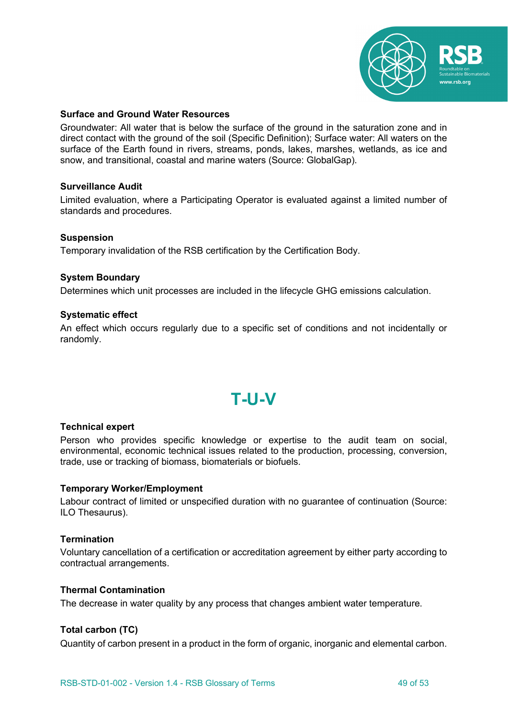

# **Surface and Ground Water Resources**

Groundwater: All water that is below the surface of the ground in the saturation zone and in direct contact with the ground of the soil (Specific Definition); Surface water: All waters on the surface of the Earth found in rivers, streams, ponds, lakes, marshes, wetlands, as ice and snow, and transitional, coastal and marine waters (Source: GlobalGap).

#### **Surveillance Audit**

Limited evaluation, where a Participating Operator is evaluated against a limited number of standards and procedures.

# **Suspension**

Temporary invalidation of the RSB certification by the Certification Body.

# **System Boundary**

Determines which unit processes are included in the lifecycle GHG emissions calculation.

#### **Systematic effect**

An effect which occurs regularly due to a specific set of conditions and not incidentally or randomly.

# **T-U-V**

#### **Technical expert**

Person who provides specific knowledge or expertise to the audit team on social, environmental, economic technical issues related to the production, processing, conversion, trade, use or tracking of biomass, biomaterials or biofuels.

#### **Temporary Worker/Employment**

Labour contract of limited or unspecified duration with no guarantee of continuation (Source: ILO Thesaurus).

#### **Termination**

Voluntary cancellation of a certification or accreditation agreement by either party according to contractual arrangements.

#### **Thermal Contamination**

The decrease in water quality by any process that changes ambient water temperature.

# **Total carbon (TC)**

Quantity of carbon present in a product in the form of organic, inorganic and elemental carbon.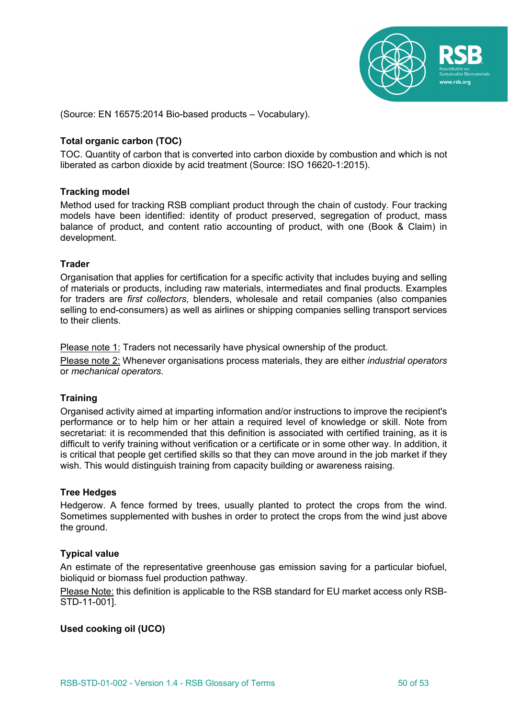

(Source: EN 16575:2014 Bio-based products – Vocabulary).

# **Total organic carbon (TOC)**

TOC. Quantity of carbon that is converted into carbon dioxide by combustion and which is not liberated as carbon dioxide by acid treatment (Source: ISO 16620-1:2015).

#### **Tracking model**

Method used for tracking RSB compliant product through the chain of custody. Four tracking models have been identified: identity of product preserved, segregation of product, mass balance of product, and content ratio accounting of product, with one (Book & Claim) in development.

#### **Trader**

Organisation that applies for certification for a specific activity that includes buying and selling of materials or products, including raw materials, intermediates and final products. Examples for traders are *first collectors*, blenders, wholesale and retail companies (also companies selling to end-consumers) as well as airlines or shipping companies selling transport services to their clients.

Please note 1: Traders not necessarily have physical ownership of the product.

Please note 2: Whenever organisations process materials, they are either *industrial operators*  or *mechanical operators*.

#### **Training**

Organised activity aimed at imparting information and/or instructions to improve the recipient's performance or to help him or her attain a required level of knowledge or skill. Note from secretariat: it is recommended that this definition is associated with certified training, as it is difficult to verify training without verification or a certificate or in some other way. In addition, it is critical that people get certified skills so that they can move around in the job market if they wish. This would distinguish training from capacity building or awareness raising.

# **Tree Hedges**

Hedgerow. A fence formed by trees, usually planted to protect the crops from the wind. Sometimes supplemented with bushes in order to protect the crops from the wind just above the ground.

# **Typical value**

An estimate of the representative greenhouse gas emission saving for a particular biofuel, bioliquid or biomass fuel production pathway.

Please Note: this definition is applicable to the RSB standard for EU market access only RSB-STD-11-001].

#### **Used cooking oil (UCO)**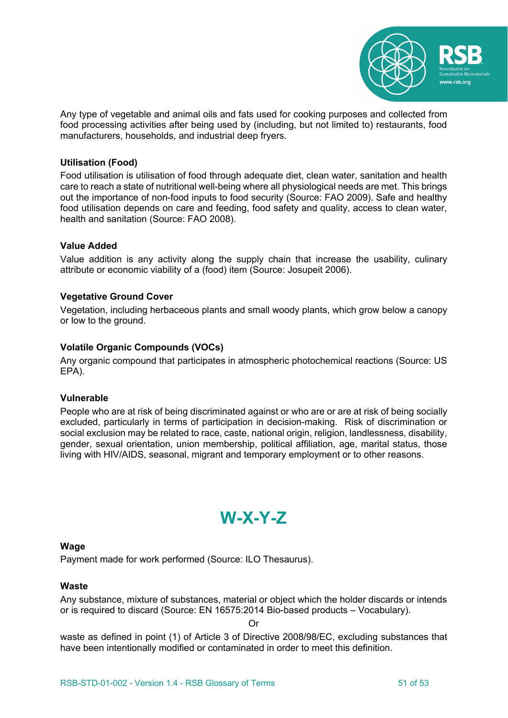

Any type of vegetable and animal oils and fats used for cooking purposes and collected from food processing activities after being used by (including, but not limited to) restaurants, food manufacturers, households, and industrial deep fryers.

# **Utilisation (Food)**

Food utilisation is utilisation of food through adequate diet, clean water, sanitation and health care to reach a state of nutritional well-being where all physiological needs are met. This brings out the importance of non-food inputs to food security (Source: FAO 2009). Safe and healthy food utilisation depends on care and feeding, food safety and quality, access to clean water, health and sanitation (Source: FAO 2008).

# **Value Added**

Value addition is any activity along the supply chain that increase the usability, culinary attribute or economic viability of a (food) item (Source: Josupeit 2006).

# **Vegetative Ground Cover**

Vegetation, including herbaceous plants and small woody plants, which grow below a canopy or low to the ground.

# **Volatile Organic Compounds (VOCs)**

Any organic compound that participates in atmospheric photochemical reactions (Source: US EPA).

#### **Vulnerable**

People who are at risk of being discriminated against or who are or are at risk of being socially excluded, particularly in terms of participation in decision-making. Risk of discrimination or social exclusion may be related to race, caste, national origin, religion, landlessness, disability, gender, sexual orientation, union membership, political affiliation, age, marital status, those living with HIV/AIDS, seasonal, migrant and temporary employment or to other reasons.

# **W-X-Y-Z**

#### **Wage**

Payment made for work performed (Source: ILO Thesaurus).

#### **Waste**

Any substance, mixture of substances, material or object which the holder discards or intends or is required to discard (Source: EN 16575:2014 Bio-based products – Vocabulary).

Or

waste as defined in point (1) of Article 3 of Directive 2008/98/EC, excluding substances that have been intentionally modified or contaminated in order to meet this definition.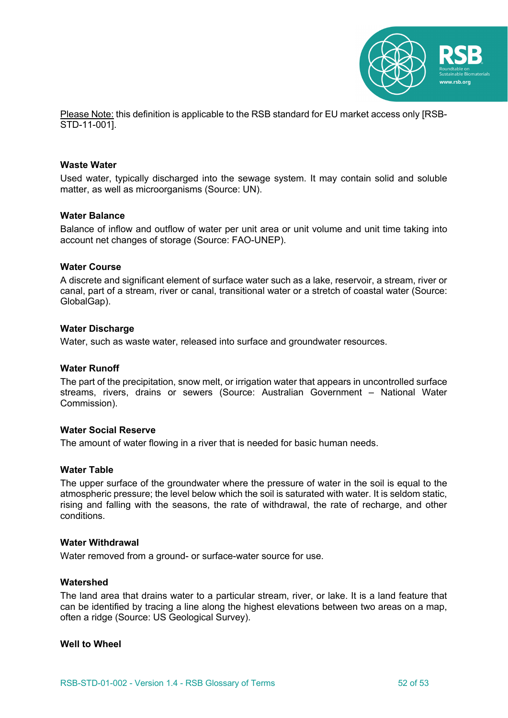

Please Note: this definition is applicable to the RSB standard for EU market access only [RSB-STD-11-001].

#### **Waste Water**

Used water, typically discharged into the sewage system. It may contain solid and soluble matter, as well as microorganisms (Source: UN).

#### **Water Balance**

Balance of inflow and outflow of water per unit area or unit volume and unit time taking into account net changes of storage (Source: FAO-UNEP).

#### **Water Course**

A discrete and significant element of surface water such as a lake, reservoir, a stream, river or canal, part of a stream, river or canal, transitional water or a stretch of coastal water (Source: GlobalGap).

#### **Water Discharge**

Water, such as waste water, released into surface and groundwater resources.

#### **Water Runoff**

The part of the precipitation, snow melt, or irrigation water that appears in uncontrolled surface streams, rivers, drains or sewers (Source: Australian Government – National Water Commission).

#### **Water Social Reserve**

The amount of water flowing in a river that is needed for basic human needs.

#### **Water Table**

The upper surface of the groundwater where the pressure of water in the soil is equal to the atmospheric pressure; the level below which the soil is saturated with water. It is seldom static, rising and falling with the seasons, the rate of withdrawal, the rate of recharge, and other conditions.

#### **Water Withdrawal**

Water removed from a ground- or surface-water source for use.

#### **Watershed**

The land area that drains water to a particular stream, river, or lake. It is a land feature that can be identified by tracing a line along the highest elevations between two areas on a map, often a ridge (Source: US Geological Survey).

#### **Well to Wheel**